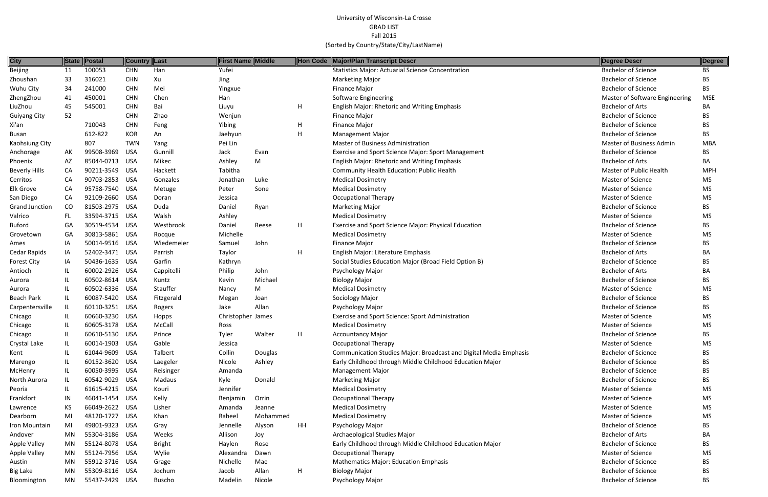| <b>City</b>          |     | State Postal   | <b>Country Last</b> |               | <b>First Name Middle</b> |          |              | Hon Code Major/Plan Transcript Descr                              | Degree Descr                   | Degree     |
|----------------------|-----|----------------|---------------------|---------------|--------------------------|----------|--------------|-------------------------------------------------------------------|--------------------------------|------------|
| Beijing              | 11  | 100053         | <b>CHN</b>          | Han           | Yufei                    |          |              | <b>Statistics Major: Actuarial Science Concentration</b>          | <b>Bachelor of Science</b>     | BS         |
| Zhoushan             | 33  | 316021         | <b>CHN</b>          | Xu            | Jing                     |          |              | <b>Marketing Major</b>                                            | <b>Bachelor of Science</b>     | BS.        |
| Wuhu City            | 34  | 241000         | <b>CHN</b>          | Mei           | Yingxue                  |          |              | Finance Major                                                     | <b>Bachelor of Science</b>     | BS.        |
| ZhengZhou            | 41  | 450001         | <b>CHN</b>          | Chen          | Han                      |          |              | <b>Software Engineering</b>                                       | Master of Software Engineering | <b>MSE</b> |
| LiuZhou              | 45  | 545001         | <b>CHN</b>          | Bai           | Liuyu                    |          | H            | English Major: Rhetoric and Writing Emphasis                      | <b>Bachelor of Arts</b>        | BA         |
| <b>Guiyang City</b>  | 52  |                | <b>CHN</b>          | Zhao          | Wenjun                   |          |              | <b>Finance Major</b>                                              | <b>Bachelor of Science</b>     | BS.        |
| Xi'an                |     | 710043         | <b>CHN</b>          | Feng          | Yibing                   |          | H            | <b>Finance Major</b>                                              | <b>Bachelor of Science</b>     | BS.        |
| Busan                |     | 612-822        | <b>KOR</b>          | An            | Jaehyun                  |          | $\mathsf{H}$ | <b>Management Major</b>                                           | <b>Bachelor of Science</b>     | BS.        |
| Kaohsiung City       |     | 807            | <b>TWN</b>          | Yang          | Pei Lin                  |          |              | <b>Master of Business Administration</b>                          | Master of Business Admin       | <b>MBA</b> |
| Anchorage            | AK  | 99508-3969     | USA                 | Gunnill       | Jack                     | Evan     |              | <b>Exercise and Sport Science Major: Sport Management</b>         | <b>Bachelor of Science</b>     | BS.        |
| Phoenix              | AZ  | 85044-0713 USA |                     | Mikec         | Ashley                   | M        |              | <b>English Major: Rhetoric and Writing Emphasis</b>               | <b>Bachelor of Arts</b>        | BA.        |
| <b>Beverly Hills</b> | CA  | 90211-3549 USA |                     | Hackett       | Tabitha                  |          |              | Community Health Education: Public Health                         | Master of Public Health        | <b>MPH</b> |
| Cerritos             | CA  | 90703-2853 USA |                     | Gonzales      | Jonathan                 | Luke     |              | <b>Medical Dosimetry</b>                                          | Master of Science              | MS.        |
| Elk Grove            | CA  | 95758-7540 USA |                     | Metuge        | Peter                    | Sone     |              | <b>Medical Dosimetry</b>                                          | Master of Science              | MS         |
| San Diego            | CA  | 92109-2660 USA |                     | Doran         | Jessica                  |          |              | <b>Occupational Therapy</b>                                       | Master of Science              | MS         |
| Grand Junction       | CO  | 81503-2975 USA |                     | Duda          | Daniel                   | Ryan     |              | <b>Marketing Major</b>                                            | <b>Bachelor of Science</b>     | BS.        |
| Valrico              | FL. | 33594-3715 USA |                     | Walsh         | Ashley                   |          |              | <b>Medical Dosimetry</b>                                          | Master of Science              | MS         |
| <b>Buford</b>        | GA  | 30519-4534 USA |                     | Westbrook     | Daniel                   | Reese    | H            | Exercise and Sport Science Major: Physical Education              | <b>Bachelor of Science</b>     | BS         |
| Grovetown            | GA  | 30813-5861 USA |                     | Rocque        | Michelle                 |          |              | <b>Medical Dosimetry</b>                                          | <b>Master of Science</b>       | <b>MS</b>  |
| Ames                 | ΙA  | 50014-9516 USA |                     | Wiedemeier    | Samuel                   | John     |              | <b>Finance Major</b>                                              | <b>Bachelor of Science</b>     | BS.        |
| Cedar Rapids         | IA  | 52402-3471 USA |                     | Parrish       | Taylor                   |          | H            | English Major: Literature Emphasis                                | <b>Bachelor of Arts</b>        | BA         |
| <b>Forest City</b>   | IA  | 50436-1635 USA |                     | Garfin        | Kathryn                  |          |              | Social Studies Education Major (Broad Field Option B)             | <b>Bachelor of Science</b>     | ВS         |
| Antioch              | IL. | 60002-2926 USA |                     | Cappitelli    | Philip                   | John     |              | Psychology Major                                                  | <b>Bachelor of Arts</b>        | BA.        |
| Aurora               |     | 60502-8614 USA |                     | Kuntz         | Kevin                    | Michael  |              | <b>Biology Major</b>                                              | <b>Bachelor of Science</b>     | ВS         |
| Aurora               |     | 60502-6336 USA |                     | Stauffer      | Nancy                    | M        |              | <b>Medical Dosimetry</b>                                          | Master of Science              | <b>MS</b>  |
| <b>Beach Park</b>    | IL. | 60087-5420 USA |                     | Fitzgerald    | Megan                    | Joan     |              | Sociology Major                                                   | <b>Bachelor of Science</b>     | BS.        |
| Carpentersville      | IL. | 60110-3251 USA |                     | Rogers        | Jake                     | Allan    |              | Psychology Major                                                  | <b>Bachelor of Science</b>     | BS.        |
| Chicago              |     | 60660-3230 USA |                     | Hopps         | Christopher James        |          |              | Exercise and Sport Science: Sport Administration                  | Master of Science              | MS         |
| Chicago              |     | 60605-3178 USA |                     | McCall        | Ross                     |          |              | <b>Medical Dosimetry</b>                                          | Master of Science              | MS         |
| Chicago              |     | 60610-5130 USA |                     | Prince        | Tyler                    | Walter   |              | <b>Accountancy Major</b>                                          | <b>Bachelor of Science</b>     | ВS         |
| Crystal Lake         |     | 60014-1903 USA |                     | Gable         | Jessica                  |          |              | <b>Occupational Therapy</b>                                       | Master of Science              | MS         |
| Kent                 |     | 61044-9609 USA |                     | Talbert       | Collin                   | Douglas  |              | Communication Studies Major: Broadcast and Digital Media Emphasis | <b>Bachelor of Science</b>     | BS         |
| Marengo              |     | 60152-3620 USA |                     | Laegeler      | Nicole                   | Ashley   |              | Early Childhood through Middle Childhood Education Major          | <b>Bachelor of Science</b>     | ВS         |
| McHenry              |     | 60050-3995 USA |                     | Reisinger     | Amanda                   |          |              | <b>Management Major</b>                                           | <b>Bachelor of Science</b>     | BS         |
| North Aurora         |     | 60542-9029 USA |                     | Madaus        | Kyle                     | Donald   |              | <b>Marketing Major</b>                                            | <b>Bachelor of Science</b>     | BS         |
| Peoria               |     | 61615-4215 USA |                     | Kouri         | Jennifer                 |          |              | <b>Medical Dosimetry</b>                                          | Master of Science              | MS         |
| Frankfort            | IN  | 46041-1454 USA |                     | Kelly         | Benjamin                 | Orrin    |              | <b>Occupational Therapy</b>                                       | <b>Master of Science</b>       | MS         |
| Lawrence             | KS. | 66049-2622 USA |                     | Lisher        | Amanda                   | Jeanne   |              | <b>Medical Dosimetry</b>                                          | Master of Science              | MS         |
| Dearborn             | MI  | 48120-1727 USA |                     | Khan          | Raheel                   | Mohammed |              | <b>Medical Dosimetry</b>                                          | Master of Science              | MS.        |
| Iron Mountain        | MI  | 49801-9323 USA |                     | Gray          | Jennelle                 | Alyson   | HH           | Psychology Major                                                  | <b>Bachelor of Science</b>     | BS.        |
| Andover              | MN  | 55304-3186 USA |                     | Weeks         | Allison                  | Joy      |              | Archaeological Studies Major                                      | <b>Bachelor of Arts</b>        | BA         |
| <b>Apple Valley</b>  | MN  | 55124-8078 USA |                     | <b>Bright</b> | Haylen                   | Rose     |              | Early Childhood through Middle Childhood Education Major          | <b>Bachelor of Science</b>     | BS.        |
| <b>Apple Valley</b>  | MN  | 55124-7956 USA |                     | Wylie         | Alexandra                | Dawn     |              | <b>Occupational Therapy</b>                                       | Master of Science              | мs         |
| Austin               | MN  | 55912-3716 USA |                     | Grage         | Nichelle                 | Mae      |              | <b>Mathematics Major: Education Emphasis</b>                      | <b>Bachelor of Science</b>     | ВS         |
| <b>Big Lake</b>      | MN  | 55309-8116 USA |                     | Jochum        | Jacob                    | Allan    | H            | <b>Biology Major</b>                                              | <b>Bachelor of Science</b>     | BS         |
| Bloomington          | MN  | 55437-2429 USA |                     | Buscho        | Madelin                  | Nicole   |              | Psychology Major                                                  | <b>Bachelor of Science</b>     | BS         |

| Degree Descr                   | Degree     |
|--------------------------------|------------|
| <b>Bachelor of Science</b>     | BS         |
| <b>Bachelor of Science</b>     | BS         |
| <b>Bachelor of Science</b>     | BS         |
| Master of Software Engineering | MSE        |
| <b>Bachelor of Arts</b>        | BА         |
| <b>Bachelor of Science</b>     | BS         |
| <b>Bachelor of Science</b>     | BS         |
| <b>Bachelor of Science</b>     | BS         |
| Master of Business Admin       | <b>MBA</b> |
| <b>Bachelor of Science</b>     | BS         |
| <b>Bachelor of Arts</b>        | BА         |
| Master of Public Health        | <b>MPH</b> |
| Master of Science              | MS         |
| Master of Science              | МS         |
| <b>Master of Science</b>       | <b>MS</b>  |
| <b>Bachelor of Science</b>     | BS         |
| Master of Science              | <b>MS</b>  |
| <b>Bachelor of Science</b>     | BS         |
| <b>Master of Science</b>       | <b>MS</b>  |
| <b>Bachelor of Science</b>     | BS         |
| <b>Bachelor of Arts</b>        | BА         |
| <b>Bachelor of Science</b>     | BS         |
| <b>Bachelor of Arts</b>        | BА         |
| <b>Bachelor of Science</b>     | <b>BS</b>  |
| <b>Master of Science</b>       | MS         |
| <b>Bachelor of Science</b>     | <b>BS</b>  |
| <b>Bachelor of Science</b>     | BS         |
| <b>Master of Science</b>       | MS         |
| <b>Master of Science</b>       | MS         |
| <b>Bachelor of Science</b>     | ВS         |
| <b>Master of Science</b>       | MS         |
| <b>Bachelor of Science</b>     | BS         |
| <b>Bachelor of Science</b>     | BS         |
| <b>Bachelor of Science</b>     | BS         |
| <b>Bachelor of Science</b>     | <b>BS</b>  |
| <b>Master of Science</b>       | MS         |
| <b>Master of Science</b>       | MS         |
| Master of Science              | MS         |
| Master of Science              | MS         |
| <b>Bachelor of Science</b>     | BS         |
| <b>Bachelor of Arts</b>        | BА         |
| <b>Bachelor of Science</b>     | BS         |
| <b>Master of Science</b>       | <b>MS</b>  |
| <b>Bachelor of Science</b>     | BS         |
| <b>Bachelor of Science</b>     | ΒS         |
| Bachelor of Science            | R۲         |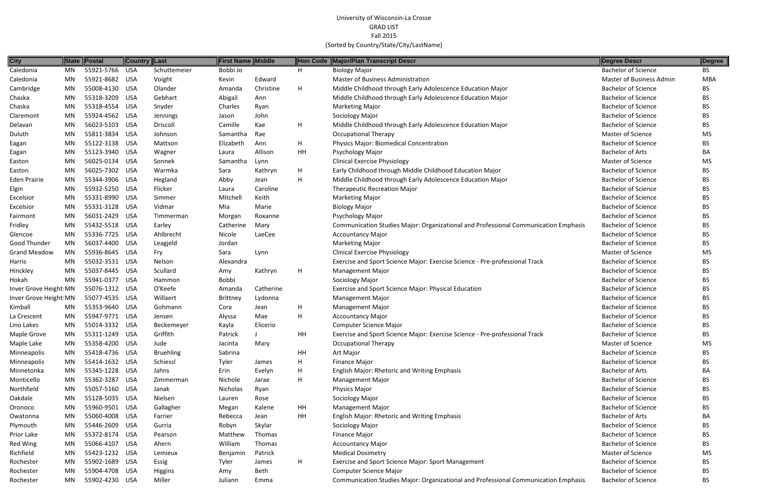| <b>City</b>            |     | State Postal   |            | <b>Country Last</b> | <b>First Name Middle</b> |           |                           | Hon Code Major/Plan Transcript Descr                                                | Degree Descr               | Degree     |
|------------------------|-----|----------------|------------|---------------------|--------------------------|-----------|---------------------------|-------------------------------------------------------------------------------------|----------------------------|------------|
| Caledonia              | MN  | 55921-5766     | <b>USA</b> | Schuttemeier        | Bobbi Jo                 |           | H                         | <b>Biology Major</b>                                                                | <b>Bachelor of Science</b> | <b>BS</b>  |
| Caledonia              | MN  | 55921-8682 USA |            | Voight              | Kevin                    | Edward    |                           | <b>Master of Business Administration</b>                                            | Master of Business Admin   | <b>MBA</b> |
| Cambridge              | MN  | 55008-4130 USA |            | Olander             | Amanda                   | Christine | H                         | Middle Childhood through Early Adolescence Education Major                          | <b>Bachelor of Science</b> | BS.        |
| Chaska                 | MN  | 55318-3209     | USA        | Gebhart             | Abigail                  | Ann       |                           | Middle Childhood through Early Adolescence Education Major                          | <b>Bachelor of Science</b> | <b>BS</b>  |
| Chaska                 | MN  | 55318-4554     | USA        | Snyder              | Charles                  | Ryan      |                           | <b>Marketing Major</b>                                                              | <b>Bachelor of Science</b> | BS         |
| Claremont              | MN  | 55924-4562 USA |            | Jennings            | Jason                    | John      |                           | Sociology Major                                                                     | <b>Bachelor of Science</b> | <b>BS</b>  |
| Delavan                | MN  | 56023-5103 USA |            | Driscoll            | Camille                  | Kae       | H                         | Middle Childhood through Early Adolescence Education Major                          | <b>Bachelor of Science</b> | <b>BS</b>  |
| Duluth                 | MN  | 55811-3834 USA |            | Johnson             | Samantha                 | Rae       |                           | <b>Occupational Therapy</b>                                                         | <b>Master of Science</b>   | MS         |
| Eagan                  | MN  | 55122-3138 USA |            | Mattson             | Elizabeth                | Ann       | H                         | Physics Major: Biomedical Concentration                                             | <b>Bachelor of Science</b> | BS         |
| Eagan                  | MN  | 55123-3940 USA |            | Wagner              | Laura                    | Allison   | HH                        | Psychology Major                                                                    | <b>Bachelor of Arts</b>    | BA         |
| Easton                 | MN  | 56025-0134     | - USA      | Sonnek              | Samantha                 | Lynn      |                           | <b>Clinical Exercise Physiology</b>                                                 | <b>Master of Science</b>   | MS         |
| Easton                 | MN  | 56025-7302 USA |            | Warmka              | Sara                     | Kathryn   | $\boldsymbol{\mathsf{H}}$ | Early Childhood through Middle Childhood Education Major                            | <b>Bachelor of Science</b> | BS         |
| <b>Eden Prairie</b>    | MN  | 55344-3906 USA |            | Hegland             | Abby                     | Jean      | H                         | Middle Childhood through Early Adolescence Education Major                          | <b>Bachelor of Science</b> | <b>BS</b>  |
| Elgin                  | MN. | 55932-5250 USA |            | Flicker             | Laura                    | Caroline  |                           | <b>Therapeutic Recreation Major</b>                                                 | <b>Bachelor of Science</b> | <b>BS</b>  |
| Excelsior              | MN  | 55331-8990 USA |            | Simmer              | Mitchell                 | Keith     |                           | <b>Marketing Major</b>                                                              | <b>Bachelor of Science</b> | BS         |
| Excelsior              | MN  | 55331-3128 USA |            | Vidmar              | Mia                      | Marie     |                           | <b>Biology Major</b>                                                                | <b>Bachelor of Science</b> | <b>BS</b>  |
| Fairmont               | MN  | 56031-2429 USA |            | Timmerman           | Morgan                   | Roxanne   |                           | Psychology Major                                                                    | <b>Bachelor of Science</b> | <b>BS</b>  |
| Fridley                | MN  | 55432-5518 USA |            | Earley              | Catherine                | Mary      |                           | Communication Studies Major: Organizational and Professional Communication Emphasis | <b>Bachelor of Science</b> | <b>BS</b>  |
| Glencoe                | MN  | 55336-7725 USA |            | Ahlbrecht           | Nicole                   | LaeCee    |                           | <b>Accountancy Major</b>                                                            | <b>Bachelor of Science</b> | <b>BS</b>  |
| <b>Good Thunder</b>    | MN  | 56037-4400 USA |            | Leagjeld            | Jordan                   |           |                           | <b>Marketing Major</b>                                                              | <b>Bachelor of Science</b> | <b>BS</b>  |
| <b>Grand Meadow</b>    | MN  | 55936-8645 USA |            | Fry                 | Sara                     | Lynn      |                           | <b>Clinical Exercise Physiology</b>                                                 | Master of Science          | MS         |
| Harris                 | MN. | 55032-3531 USA |            | Nelson              | Alexandra                |           |                           | Exercise and Sport Science Major: Exercise Science - Pre-professional Track         | <b>Bachelor of Science</b> | BS.        |
| Hinckley               | MN  | 55037-8445     | USA        | Scullard            | Amy                      | Kathryn   | H                         | <b>Management Major</b>                                                             | <b>Bachelor of Science</b> | <b>BS</b>  |
| Hokah                  | MN  | 55941-0377 USA |            | Hammon              | Bobbi                    |           |                           | Sociology Major                                                                     | <b>Bachelor of Science</b> | BS         |
| Inver Grove Height: MN |     | 55076-1312 USA |            | O'Keefe             | Amanda                   | Catherine |                           | Exercise and Sport Science Major: Physical Education                                | <b>Bachelor of Science</b> | BS.        |
| Inver Grove Height: MN |     | 55077-4535 USA |            | Willaert            | <b>Brittney</b>          | Lydonna   |                           | Management Major                                                                    | <b>Bachelor of Science</b> | <b>BS</b>  |
| Kimball                | MN  | 55353-9640 USA |            | Gohmann             | Cora                     | Jean      |                           | <b>Management Major</b>                                                             | <b>Bachelor of Science</b> | BS         |
| La Crescent            | MN  | 55947-9771 USA |            | Jensen              | Alyssa                   | Mae       | H                         | <b>Accountancy Major</b>                                                            | <b>Bachelor of Science</b> | <b>BS</b>  |
| Lino Lakes             | MN  | 55014-3332 USA |            | Beckemeyer          | Kayla                    | Elicerio  |                           | <b>Computer Science Major</b>                                                       | <b>Bachelor of Science</b> | BS         |
| Maple Grove            | MN  | 55311-1249 USA |            | Griffith            | Patrick                  |           | HH                        | Exercise and Sport Science Major: Exercise Science - Pre-professional Track         | <b>Bachelor of Science</b> | <b>BS</b>  |
| Maple Lake             | MN. | 55358-4200 USA |            | Jude                | Jacinta                  | Mary      |                           | <b>Occupational Therapy</b>                                                         | <b>Master of Science</b>   | MS         |
| Minneapolis            | MN  | 55418-4736 USA |            | <b>Bruehling</b>    | Sabrina                  |           | HH                        | Art Major                                                                           | <b>Bachelor of Science</b> | <b>BS</b>  |
| Minneapolis            | MN  | 55414-1632 USA |            | Schiessl            | Tyler                    | James     | H                         | Finance Major                                                                       | <b>Bachelor of Science</b> | <b>BS</b>  |
| Minnetonka             | MN  | 55345-1228 USA |            | Jahns               | Erin                     | Evelyn    | H                         | English Major: Rhetoric and Writing Emphasis                                        | <b>Bachelor of Arts</b>    | BA         |
| Monticello             | MN  | 55362-3287     | USA        | Zimmerman           | Nichole                  | Jarae     | H                         | Management Major                                                                    | <b>Bachelor of Science</b> | BS         |
| Northfield             | MN  | 55057-5160 USA |            | Janak               | Nicholas                 | Ryan      |                           | Physics Major                                                                       | <b>Bachelor of Science</b> | BS         |
| Oakdale                | MN  | 55128-5035 USA |            | Nielsen             | Lauren                   | Rose      |                           | Sociology Major                                                                     | <b>Bachelor of Science</b> | <b>BS</b>  |
| Oronoco                | MN  | 55960-9501 USA |            | Gallagher           | Megan                    | Kalene    | HH                        | <b>Management Major</b>                                                             | <b>Bachelor of Science</b> | <b>BS</b>  |
| Owatonna               | MN  | 55060-4008 USA |            | Farrier             | Rebecca                  | Jean      | HH                        | English Major: Rhetoric and Writing Emphasis                                        | <b>Bachelor of Arts</b>    | BA         |
| Plymouth               | MN  | 55446-2609 USA |            | Gurria              | Robyn                    | Skylar    |                           | Sociology Major                                                                     | <b>Bachelor of Science</b> | BS         |
| Prior Lake             | MN  | 55372-8174 USA |            | Pearson             | Matthew                  | Thomas    |                           | Finance Major                                                                       | <b>Bachelor of Science</b> | BS         |
| Red Wing               | MN  | 55066-4107 USA |            | Ahern               | William                  | Thomas    |                           | <b>Accountancy Major</b>                                                            | <b>Bachelor of Science</b> | <b>BS</b>  |
| Richfield              | MN  | 55423-1232 USA |            | Lemieux             | Benjamin                 | Patrick   |                           | <b>Medical Dosimetry</b>                                                            | <b>Master of Science</b>   | MS         |
| Rochester              | MN  | 55902-1689 USA |            | Essig               | Tyler                    | James     | H                         | <b>Exercise and Sport Science Major: Sport Management</b>                           | <b>Bachelor of Science</b> | <b>BS</b>  |
| Rochester              | MN  | 55904-4708 USA |            | <b>Higgins</b>      | Amy                      | Beth      |                           | <b>Computer Science Major</b>                                                       | <b>Bachelor of Science</b> | BS         |
| Rochester              | MN  | 55902-4230 USA |            | Miller              | Juliann                  | Emma      |                           | Communication Studies Major: Organizational and Professional Communication Emphasis | <b>Bachelor of Science</b> | BS         |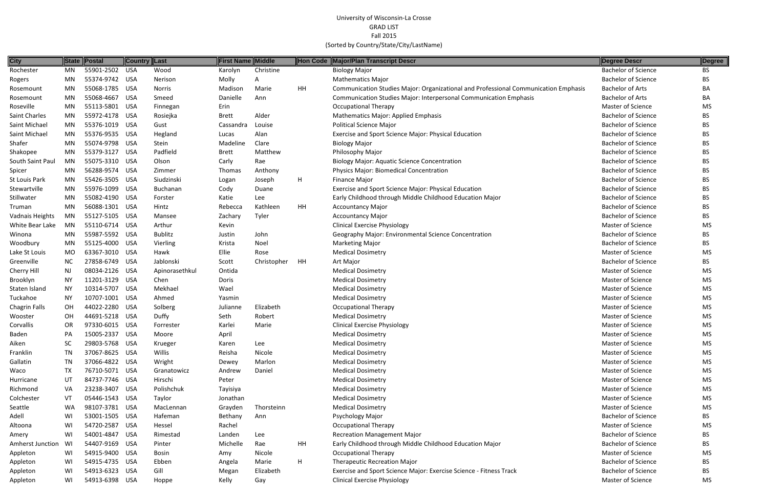| <b>City</b>             |           | State Postal   | <b>Country Last</b> |                | <b>First Name Middle</b> |             | Hon Code | Major/Plan Transcript Descr                                                         | Degree Descr               | Degree    |
|-------------------------|-----------|----------------|---------------------|----------------|--------------------------|-------------|----------|-------------------------------------------------------------------------------------|----------------------------|-----------|
| Rochester               | <b>MN</b> | 55901-2502 USA |                     | Wood           | Karolyn                  | Christine   |          | <b>Biology Major</b>                                                                | <b>Bachelor of Science</b> | <b>BS</b> |
| Rogers                  | MN        | 55374-9742 USA |                     | Nerison        | Molly                    | A           |          | <b>Mathematics Major</b>                                                            | <b>Bachelor of Science</b> | BS        |
| Rosemount               | MN        | 55068-1785 USA |                     | Norris         | Madison                  | Marie       | HH       | Communication Studies Major: Organizational and Professional Communication Emphasis | <b>Bachelor of Arts</b>    | BA        |
| Rosemount               | MN        | 55068-4667     | USA                 | Smeed          | Danielle                 | Ann         |          | Communication Studies Major: Interpersonal Communication Emphasis                   | <b>Bachelor of Arts</b>    | BA        |
| Roseville               | <b>MN</b> | 55113-5801 USA |                     | Finnegan       | Erin                     |             |          | <b>Occupational Therapy</b>                                                         | Master of Science          | <b>MS</b> |
| Saint Charles           | MN        | 55972-4178 USA |                     | Rosiejka       | <b>Brett</b>             | Alder       |          | Mathematics Major: Applied Emphasis                                                 | <b>Bachelor of Science</b> | BS        |
| Saint Michael           | MN        | 55376-1019 USA |                     | Gust           | Cassandra                | Louise      |          | <b>Political Science Major</b>                                                      | <b>Bachelor of Science</b> | BS        |
| Saint Michael           | MN        | 55376-9535 USA |                     | Hegland        | Lucas                    | Alan        |          | Exercise and Sport Science Major: Physical Education                                | <b>Bachelor of Science</b> | <b>BS</b> |
| Shafer                  | <b>MN</b> | 55074-9798 USA |                     | Stein          | Madeline                 | Clare       |          | <b>Biology Major</b>                                                                | <b>Bachelor of Science</b> | BS        |
| Shakopee                | MN        | 55379-3127 USA |                     | Padfield       | <b>Brett</b>             | Matthew     |          | Philosophy Major                                                                    | <b>Bachelor of Science</b> | <b>BS</b> |
| South Saint Paul        | MN        | 55075-3310 USA |                     | Olson          | Carly                    | Rae         |          | <b>Biology Major: Aquatic Science Concentration</b>                                 | <b>Bachelor of Science</b> | BS        |
| Spicer                  | MN        | 56288-9574 USA |                     | Zimmer         | Thomas                   | Anthony     |          | Physics Major: Biomedical Concentration                                             | <b>Bachelor of Science</b> | BS        |
| St Louis Park           | MN        | 55426-3505 USA |                     | Siudzinski     | Logan                    | Joseph      | H        | Finance Major                                                                       | <b>Bachelor of Science</b> | BS        |
| Stewartville            | MN        | 55976-1099 USA |                     | Buchanan       | Cody                     | Duane       |          | Exercise and Sport Science Major: Physical Education                                | <b>Bachelor of Science</b> | BS        |
| Stillwater              | MN        | 55082-4190 USA |                     | Forster        | Katie                    | Lee         |          | Early Childhood through Middle Childhood Education Major                            | <b>Bachelor of Science</b> | <b>BS</b> |
| Truman                  | MN        | 56088-1301 USA |                     | Hintz          | Rebecca                  | Kathleen    | HH       | <b>Accountancy Major</b>                                                            | <b>Bachelor of Science</b> | BS        |
| Vadnais Heights         | MN        | 55127-5105 USA |                     | Mansee         | Zachary                  | Tyler       |          | <b>Accountancy Major</b>                                                            | <b>Bachelor of Science</b> | <b>BS</b> |
| White Bear Lake         | MN        | 55110-6714 USA |                     | Arthur         | Kevin                    |             |          | <b>Clinical Exercise Physiology</b>                                                 | Master of Science          | MS        |
| Winona                  | MN        | 55987-5592 USA |                     | <b>Bublitz</b> | Justin                   | John        |          | Geography Major: Environmental Science Concentration                                | <b>Bachelor of Science</b> | BS        |
| Woodbury                | MN        | 55125-4000 USA |                     | Vierling       | Krista                   | Noel        |          | <b>Marketing Major</b>                                                              | <b>Bachelor of Science</b> | <b>BS</b> |
| Lake St Louis           | MO        | 63367-3010 USA |                     | Hawk           | Ellie                    | Rose        |          | <b>Medical Dosimetry</b>                                                            | <b>Master of Science</b>   | MS        |
| Greenville              | NC        | 27858-6749 USA |                     | Jablonski      | Scott                    | Christopher | HH       | Art Major                                                                           | <b>Bachelor of Science</b> | <b>BS</b> |
| Cherry Hill             | NJ        | 08034-2126 USA |                     | Apinorasethkul | Ontida                   |             |          | <b>Medical Dosimetry</b>                                                            | Master of Science          | <b>MS</b> |
| Brooklyn                | NY.       | 11201-3129 USA |                     | Chen           | Doris                    |             |          | <b>Medical Dosimetry</b>                                                            | <b>Master of Science</b>   | MS        |
| Staten Island           | NY.       | 10314-5707 USA |                     | Mekhael        | Wael                     |             |          | <b>Medical Dosimetry</b>                                                            | <b>Master of Science</b>   | <b>MS</b> |
| Tuckahoe                | NY        | 10707-1001 USA |                     | Ahmed          | Yasmin                   |             |          | <b>Medical Dosimetry</b>                                                            | <b>Master of Science</b>   | MS        |
| <b>Chagrin Falls</b>    | OH        | 44022-2280 USA |                     | Solberg        | Julianne                 | Elizabeth   |          | <b>Occupational Therapy</b>                                                         | <b>Master of Science</b>   | MS.       |
| Wooster                 | <b>OH</b> | 44691-5218 USA |                     | Duffy          | Seth                     | Robert      |          | <b>Medical Dosimetry</b>                                                            | Master of Science          | MS        |
| Corvallis               | <b>OR</b> | 97330-6015 USA |                     | Forrester      | Karlei                   | Marie       |          | <b>Clinical Exercise Physiology</b>                                                 | Master of Science          | <b>MS</b> |
| Baden                   | PA        | 15005-2337 USA |                     | Moore          | April                    |             |          | <b>Medical Dosimetry</b>                                                            | Master of Science          | MS        |
| Aiken                   | <b>SC</b> | 29803-5768 USA |                     | Krueger        | Karen                    | Lee         |          | <b>Medical Dosimetry</b>                                                            | <b>Master of Science</b>   | MS        |
| Franklin                | TN        | 37067-8625 USA |                     | Willis         | Reisha                   | Nicole      |          | <b>Medical Dosimetry</b>                                                            | Master of Science          | MS        |
| Gallatin                | TN        | 37066-4822 USA |                     | Wright         | Dewey                    | Marlon      |          | <b>Medical Dosimetry</b>                                                            | <b>Master of Science</b>   | MS        |
| Waco                    | TX        | 76710-5071 USA |                     | Granatowicz    | Andrew                   | Daniel      |          | <b>Medical Dosimetry</b>                                                            | Master of Science          | MS        |
| Hurricane               | UT        | 84737-7746 USA |                     | Hirschi        | Peter                    |             |          | <b>Medical Dosimetry</b>                                                            | Master of Science          | MS        |
| Richmond                | VA        | 23238-3407 USA |                     | Polishchuk     | Tayisiya                 |             |          | <b>Medical Dosimetry</b>                                                            | Master of Science          | MS        |
| Colchester              | VT        | 05446-1543 USA |                     | Taylor         | Jonathan                 |             |          | <b>Medical Dosimetry</b>                                                            | <b>Master of Science</b>   | MS        |
| Seattle                 | WA        | 98107-3781 USA |                     | MacLennan      | Grayden                  | Thorsteinn  |          | <b>Medical Dosimetry</b>                                                            | <b>Master of Science</b>   | MS        |
| Adell                   | WI        | 53001-1505 USA |                     | Hafeman        | Bethany                  | Ann         |          | Psychology Major                                                                    | <b>Bachelor of Science</b> | ВS        |
| Altoona                 | WI        | 54720-2587 USA |                     | Hessel         | Rachel                   |             |          | <b>Occupational Therapy</b>                                                         | Master of Science          | MS        |
| Amery                   | WI        | 54001-4847 USA |                     | Rimestad       | Landen                   | Lee         |          | <b>Recreation Management Major</b>                                                  | <b>Bachelor of Science</b> | BS        |
| <b>Amherst Junction</b> | WI        | 54407-9169 USA |                     | Pinter         | Michelle                 | Rae         | HH       | Early Childhood through Middle Childhood Education Major                            | <b>Bachelor of Science</b> | BS        |
| Appleton                | WI        | 54915-9400 USA |                     | <b>Bosin</b>   | Amy                      | Nicole      |          | <b>Occupational Therapy</b>                                                         | <b>Master of Science</b>   | <b>MS</b> |
| Appleton                | WI.       | 54915-4735 USA |                     | Ebben          | Angela                   | Marie       | H        | <b>Therapeutic Recreation Major</b>                                                 | <b>Bachelor of Science</b> | BS        |
| Appleton                | WI        | 54913-6323 USA |                     | Gill           | Megan                    | Elizabeth   |          | Exercise and Sport Science Major: Exercise Science - Fitness Track                  | <b>Bachelor of Science</b> | BS        |
| Appleton                | WI        | 54913-6398 USA |                     | Hoppe          | Kelly                    | Gay         |          | <b>Clinical Exercise Physiology</b>                                                 | Master of Science          | MS        |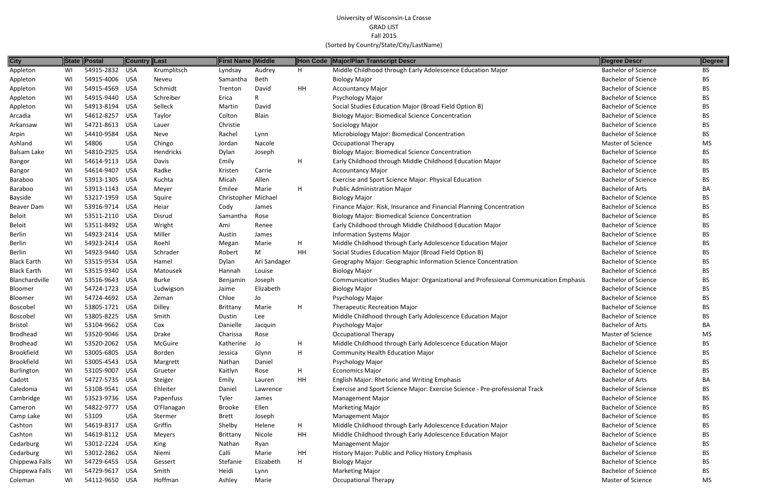| <b>City</b>        |    | State Postal   | Country Last |               | <b>First Name Middle</b> |              |           | Hon Code Major/Plan Transcript Descr                                                | Degree Descr               | Degree    |
|--------------------|----|----------------|--------------|---------------|--------------------------|--------------|-----------|-------------------------------------------------------------------------------------|----------------------------|-----------|
| Appleton           | WI | 54915-2832     | USA          | Krumplitsch   | Lyndsay                  | Audrey       | H         | Middle Childhood through Early Adolescence Education Major                          | <b>Bachelor of Science</b> | <b>BS</b> |
| Appleton           | WI | 54915-4006 USA |              | Neveu         | Samantha                 | Beth         |           | <b>Biology Major</b>                                                                | <b>Bachelor of Science</b> | <b>BS</b> |
| Appleton           | WI | 54915-4569 USA |              | Schmidt       | Trenton                  | David        | HH        | <b>Accountancy Major</b>                                                            | <b>Bachelor of Science</b> | <b>BS</b> |
| Appleton           | WI | 54915-9440     | USA          | Schreiber     | Erica                    |              |           | Psychology Major                                                                    | <b>Bachelor of Science</b> | <b>BS</b> |
| Appleton           | WI | 54913-8194     | USA          | Selleck       | Martin                   | David        |           | Social Studies Education Major (Broad Field Option B)                               | <b>Bachelor of Science</b> | BS        |
| Arcadia            | WI | 54612-8257     | USA          | Taylor        | Colton                   | Blain        |           | <b>Biology Major: Biomedical Science Concentration</b>                              | <b>Bachelor of Science</b> | <b>BS</b> |
| Arkansaw           | WI | 54721-8613 USA |              | Lauer         | Christie                 |              |           | Sociology Major                                                                     | <b>Bachelor of Science</b> | <b>BS</b> |
| Arpin              | WI | 54410-9584     | <b>USA</b>   | Neve          | Rachel                   | Lynn         |           | Microbiology Major: Biomedical Concentration                                        | <b>Bachelor of Science</b> | BS.       |
| Ashland            | WI | 54806          | <b>USA</b>   | Chingo        | Jordan                   | Nacole       |           | <b>Occupational Therapy</b>                                                         | Master of Science          | MS        |
| Balsam Lake        | WI | 54810-2925     | USA          | Hendricks     | Dylan                    | Joseph       |           | <b>Biology Major: Biomedical Science Concentration</b>                              | <b>Bachelor of Science</b> | BS.       |
| Bangor             | WI | 54614-9113     | USA          | Davis         | Emily                    |              | H         | Early Childhood through Middle Childhood Education Major                            | <b>Bachelor of Science</b> | <b>BS</b> |
| Bangor             | WI | 54614-9407     | USA          | Radke         | Kristen                  | Carrie       |           | <b>Accountancy Major</b>                                                            | <b>Bachelor of Science</b> | <b>BS</b> |
| Baraboo            | WI | 53913-1305 USA |              | Kuchta        | Micah                    | Allen        |           | Exercise and Sport Science Major: Physical Education                                | <b>Bachelor of Science</b> | <b>BS</b> |
| Baraboo            | WI | 53913-1143 USA |              | Meyer         | Emilee                   | Marie        | H         | Public Administration Major                                                         | <b>Bachelor of Arts</b>    | BA        |
| Bayside            | WI | 53217-1959 USA |              | Squire        | Christopher Michael      |              |           | <b>Biology Major</b>                                                                | <b>Bachelor of Science</b> | <b>BS</b> |
| Beaver Dam         | WI | 53916-9714 USA |              | Heiar         | Cody                     | James        |           | Finance Major: Risk, Insurance and Financial Planning Concentration                 | <b>Bachelor of Science</b> | BS        |
| <b>Beloit</b>      | WI | 53511-2110 USA |              | Disrud        | Samantha                 | Rose         |           | <b>Biology Major: Biomedical Science Concentration</b>                              | <b>Bachelor of Science</b> | <b>BS</b> |
| Beloit             | WI | 53511-8492 USA |              | Wright        | Ami                      | Renee        |           | Early Childhood through Middle Childhood Education Major                            | <b>Bachelor of Science</b> | <b>BS</b> |
| Berlin             | WI | 54923-2414 USA |              | Miller        | Austin                   | James        |           | <b>Information Systems Major</b>                                                    | <b>Bachelor of Science</b> | <b>BS</b> |
| Berlin             | WI | 54923-2414 USA |              | Roehl         | Megan                    | Marie        | Н         | Middle Childhood through Early Adolescence Education Major                          | <b>Bachelor of Science</b> | <b>BS</b> |
| Berlin             | WI | 54923-9440 USA |              | Schrader      | Robert                   | M            | HH        | Social Studies Education Major (Broad Field Option B)                               | <b>Bachelor of Science</b> | BS        |
| <b>Black Earth</b> | WI | 53515-9534 USA |              | Hamel         | Dylan                    | Ari Sandager |           | Geography Major: Geographic Information Science Concentration                       | <b>Bachelor of Science</b> | <b>BS</b> |
| <b>Black Earth</b> | WI | 53515-9340 USA |              | Matousek      | Hannah                   | Louise       |           | <b>Biology Major</b>                                                                | <b>Bachelor of Science</b> | <b>BS</b> |
| Blanchardville     | WI | 53516-9643 USA |              | <b>Burke</b>  | Benjamin                 | Joseph       |           | Communication Studies Major: Organizational and Professional Communication Emphasis | <b>Bachelor of Science</b> | BS        |
| Bloomer            | WI | 54724-1723 USA |              | Ludwigson     | Jaime                    | Elizabeth    |           | <b>Biology Major</b>                                                                | <b>Bachelor of Science</b> | BS.       |
| Bloomer            | WI | 54724-4692 USA |              | Zeman         | Chloe                    | Jo           |           | Psychology Major                                                                    | <b>Bachelor of Science</b> | <b>BS</b> |
| Boscobel           | WI | 53805-1721 USA |              | Dilley        | Brittany                 | Marie        | H         | <b>Therapeutic Recreation Major</b>                                                 | <b>Bachelor of Science</b> | BS        |
| <b>Boscobel</b>    | WI | 53805-8225 USA |              | Smith         | Dustin                   | Lee          |           | Middle Childhood through Early Adolescence Education Major                          | <b>Bachelor of Science</b> | <b>BS</b> |
| Bristol            | WI | 53104-9662 USA |              | Cox           | Danielle                 | Jacquin      |           | Psychology Major                                                                    | <b>Bachelor of Arts</b>    | BA        |
| Brodhead           | WI | 53520-9046 USA |              | Drake         | Charissa                 | Rose         |           | <b>Occupational Therapy</b>                                                         | Master of Science          | MS        |
| Brodhead           | WI | 53520-2062 USA |              | McGuire       | Katherine                | Jo           | H         | Middle Childhood through Early Adolescence Education Major                          | <b>Bachelor of Science</b> | BS        |
| <b>Brookfield</b>  | WI | 53005-6805 USA |              | Borden        | Jessica                  | Glynn        | H         | <b>Community Health Education Major</b>                                             | <b>Bachelor of Science</b> | <b>BS</b> |
| <b>Brookfield</b>  | WI | 53005-4543 USA |              | Margrett      | Nathan                   | Daniel       |           | Psychology Major                                                                    | <b>Bachelor of Science</b> | <b>BS</b> |
| Burlington         | WI | 53105-9007 USA |              | Grueter       | Kaitlyn                  | Rose         | Н         | <b>Economics Major</b>                                                              | <b>Bachelor of Science</b> | <b>BS</b> |
| Cadott             | WI | 54727-5735 USA |              | Steiger       | Emily                    | Lauren       | <b>HH</b> | English Major: Rhetoric and Writing Emphasis                                        | <b>Bachelor of Arts</b>    | BA        |
| Caledonia          | WI | 53108-9541 USA |              | Ehleiter      | Daniel                   | Lawrence     |           | Exercise and Sport Science Major: Exercise Science - Pre-professional Track         | <b>Bachelor of Science</b> | BS        |
| Cambridge          | WI | 53523-9736 USA |              | Papenfuss     | Tyler                    | James        |           | <b>Management Major</b>                                                             | <b>Bachelor of Science</b> | <b>BS</b> |
| Cameron            | WI | 54822-9777 USA |              | O'Flanagan    | <b>Brooke</b>            | Ellen        |           | <b>Marketing Major</b>                                                              | <b>Bachelor of Science</b> | <b>BS</b> |
| Camp Lake          | WI | 53109          | <b>USA</b>   | Stermer       | Brett                    | Joseph       |           | <b>Management Major</b>                                                             | <b>Bachelor of Science</b> | BS        |
| Cashton            | WI | 54619-8317     | USA          | Griffin       | Shelby                   | Helene       | H         | Middle Childhood through Early Adolescence Education Major                          | <b>Bachelor of Science</b> | BS        |
| Cashton            | WI | 54619-8112 USA |              | <b>Meyers</b> | <b>Brittany</b>          | Nicole       | HH        | Middle Childhood through Early Adolescence Education Major                          | <b>Bachelor of Science</b> | BS        |
| Cedarburg          | WI | 53012-2224 USA |              | King          | Nathan                   | Ryan         |           | <b>Management Major</b>                                                             | <b>Bachelor of Science</b> | <b>BS</b> |
| Cedarburg          | WI | 53012-2862 USA |              | Niemi         | Calli                    | Marie        | HH        | History Major: Public and Policy History Emphasis                                   | <b>Bachelor of Science</b> | <b>BS</b> |
| Chippewa Falls     | WI | 54729-6455 USA |              | Gessert       | Stefanie                 | Elizabeth    | H.        | <b>Biology Major</b>                                                                | <b>Bachelor of Science</b> | <b>BS</b> |
| Chippewa Falls     | WI | 54729-9617 USA |              | Smith         | Heidi                    | Lynn         |           | <b>Marketing Major</b>                                                              | <b>Bachelor of Science</b> | BS        |
| Coleman            | WI | 54112-9650 USA |              | Hoffman       | Ashley                   | Marie        |           | <b>Occupational Therapy</b>                                                         | Master of Science          | MS        |
|                    |    |                |              |               |                          |              |           |                                                                                     |                            |           |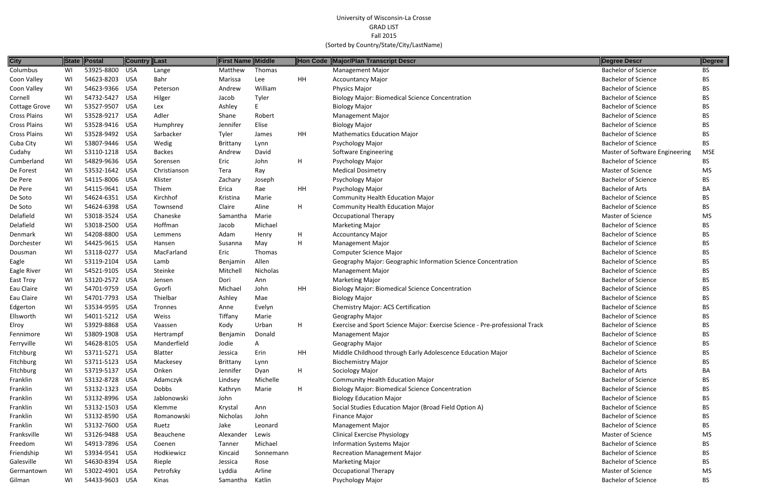| City                |    | State Postal   | <b>Country Last</b> |               | <b>First Name Middle</b> |           |    | Hon Code Major/Plan Transcript Descr                                        | Degree Descr                   | Degree     |
|---------------------|----|----------------|---------------------|---------------|--------------------------|-----------|----|-----------------------------------------------------------------------------|--------------------------------|------------|
| Columbus            | WI | 53925-8800     | USA                 | Lange         | Matthew                  | Thomas    |    | <b>Management Major</b>                                                     | Bachelor of Science            | BS         |
| Coon Valley         | WI | 54623-8203 USA |                     | Bahr          | Marissa                  | Lee       | HH | <b>Accountancy Major</b>                                                    | <b>Bachelor of Science</b>     | BS         |
| Coon Valley         | WI | 54623-9366 USA |                     | Peterson      | Andrew                   | William   |    | <b>Physics Major</b>                                                        | <b>Bachelor of Science</b>     | ВS         |
| Cornell             | WI | 54732-5427 USA |                     | Hilger        | Jacob                    | Tyler     |    | <b>Biology Major: Biomedical Science Concentration</b>                      | <b>Bachelor of Science</b>     | ВS         |
| Cottage Grove       | WI | 53527-9507 USA |                     | Lex           | Ashley                   |           |    | <b>Biology Major</b>                                                        | <b>Bachelor of Science</b>     | ВS         |
| <b>Cross Plains</b> | WI | 53528-9217 USA |                     | Adler         | Shane                    | Robert    |    | <b>Management Major</b>                                                     | <b>Bachelor of Science</b>     | BS.        |
| <b>Cross Plains</b> | WI | 53528-9416 USA |                     | Humphrey      | Jennifer                 | Elise     |    | <b>Biology Major</b>                                                        | <b>Bachelor of Science</b>     | BS.        |
| <b>Cross Plains</b> | WI | 53528-9492 USA |                     | Sarbacker     | Tyler                    | James     | HH | <b>Mathematics Education Major</b>                                          | <b>Bachelor of Science</b>     | BS.        |
| Cuba City           | WI | 53807-9446 USA |                     | Wedig         | Brittany                 | Lynn      |    | Psychology Major                                                            | <b>Bachelor of Science</b>     | BS.        |
| Cudahy              | WI | 53110-1218 USA |                     | <b>Backes</b> | Andrew                   | David     |    | Software Engineering                                                        | Master of Software Engineering | <b>MSE</b> |
| Cumberland          | WI | 54829-9636 USA |                     | Sorensen      | Eric                     | John      | H  | Psychology Major                                                            | <b>Bachelor of Science</b>     | BS         |
| De Forest           | WI | 53532-1642 USA |                     | Christianson  | Tera                     | Ray       |    | <b>Medical Dosimetry</b>                                                    | <b>Master of Science</b>       | <b>MS</b>  |
| De Pere             | WI | 54115-8006 USA |                     | Klister       | Zachary                  | Joseph    |    | Psychology Major                                                            | <b>Bachelor of Science</b>     | ВS         |
| De Pere             | WI | 54115-9641 USA |                     | Thiem         | Erica                    | Rae       | HH | Psychology Major                                                            | <b>Bachelor of Arts</b>        | BA         |
| De Soto             | WI | 54624-6351 USA |                     | Kirchhof      | Kristina                 | Marie     |    | <b>Community Health Education Major</b>                                     | <b>Bachelor of Science</b>     | BS.        |
| De Soto             | WI | 54624-6398 USA |                     | Townsend      | Claire                   | Aline     | Н  | <b>Community Health Education Major</b>                                     | <b>Bachelor of Science</b>     | BS.        |
| Delafield           | WI | 53018-3524 USA |                     | Chaneske      | Samantha                 | Marie     |    | <b>Occupational Therapy</b>                                                 | Master of Science              | MS         |
| Delafield           | WI | 53018-2500 USA |                     | Hoffman       | Jacob                    | Michael   |    | <b>Marketing Major</b>                                                      | <b>Bachelor of Science</b>     | ВS         |
| Denmark             | WI | 54208-8800 USA |                     | Lemmens       | Adam                     | Henry     | H  | <b>Accountancy Major</b>                                                    | <b>Bachelor of Science</b>     | BS.        |
| Dorchester          | WI | 54425-9615 USA |                     | Hansen        | Susanna                  | May       | H  | <b>Management Major</b>                                                     | <b>Bachelor of Science</b>     | BS.        |
| Dousman             | WI | 53118-0277 USA |                     | MacFarland    | Eric                     | Thomas    |    | <b>Computer Science Major</b>                                               | <b>Bachelor of Science</b>     | BS.        |
| Eagle               | WI | 53119-2104 USA |                     | Lamb          | Benjamin                 | Allen     |    | Geography Major: Geographic Information Science Concentration               | <b>Bachelor of Science</b>     | BS.        |
| Eagle River         | WI | 54521-9105 USA |                     | Steinke       | Mitchell                 | Nicholas  |    | <b>Management Major</b>                                                     | <b>Bachelor of Science</b>     | BS.        |
| East Troy           | WI | 53120-2572 USA |                     | Jensen        | Dori                     | Ann       |    | <b>Marketing Major</b>                                                      | <b>Bachelor of Science</b>     | ВS         |
| Eau Claire          | WI | 54701-9759 USA |                     | Gyorfi        | Michael                  | John      | HH | <b>Biology Major: Biomedical Science Concentration</b>                      | <b>Bachelor of Science</b>     | ВS         |
| Eau Claire          | WI | 54701-7793 USA |                     | Thielbar      | Ashley                   | Mae       |    | <b>Biology Major</b>                                                        | <b>Bachelor of Science</b>     | BS.        |
| Edgerton            | WI | 53534-9595 USA |                     | Tronnes       | Anne                     | Evelyn    |    | <b>Chemistry Major: ACS Certification</b>                                   | <b>Bachelor of Science</b>     | BS.        |
| Ellsworth           | WI | 54011-5212 USA |                     | Weiss         | Tiffany                  | Marie     |    | Geography Major                                                             | <b>Bachelor of Science</b>     | BS         |
| Elroy               | WI | 53929-8868 USA |                     | Vaassen       | Kody                     | Urban     | H  | Exercise and Sport Science Major: Exercise Science - Pre-professional Track | <b>Bachelor of Science</b>     | ВS         |
| Fennimore           | WI | 53809-1908 USA |                     | Hertrampf     | Benjamin                 | Donald    |    | <b>Management Major</b>                                                     | <b>Bachelor of Science</b>     | ВS         |
| Ferryville          | WI | 54628-8105 USA |                     | Manderfield   | Jodie                    | A         |    | Geography Major                                                             | <b>Bachelor of Science</b>     | BS.        |
| Fitchburg           | WI | 53711-5271 USA |                     | Blatter       | Jessica                  | Erin      | HH | Middle Childhood through Early Adolescence Education Major                  | <b>Bachelor of Science</b>     | BS.        |
| Fitchburg           | WI | 53711-5123 USA |                     | Mackesey      | Brittany                 | Lynn      |    | <b>Biochemistry Major</b>                                                   | <b>Bachelor of Science</b>     | ВS         |
| Fitchburg           | WI | 53719-5137 USA |                     | Onken         | Jennifer                 | Dyan      | H  | Sociology Major                                                             | <b>Bachelor of Arts</b>        | BA         |
| Franklin            | WI | 53132-8728 USA |                     | Adamczyk      | Lindsey                  | Michelle  |    | <b>Community Health Education Major</b>                                     | <b>Bachelor of Science</b>     | BS         |
| Franklin            | WI | 53132-1323 USA |                     | Dobbs         | Kathryn                  | Marie     | H  | <b>Biology Major: Biomedical Science Concentration</b>                      | <b>Bachelor of Science</b>     | ВS         |
| Franklin            | WI | 53132-8996 USA |                     | Jablonowski   | John                     |           |    | <b>Biology Education Major</b>                                              | <b>Bachelor of Science</b>     | BS         |
| Franklin            | WI | 53132-1503 USA |                     | Klemme        | Krystal                  | Ann       |    | Social Studies Education Major (Broad Field Option A)                       | <b>Bachelor of Science</b>     | BS         |
| Franklin            | WI | 53132-8590 USA |                     | Romanowski    | Nicholas                 | John      |    | Finance Major                                                               | <b>Bachelor of Science</b>     | ВS         |
| Franklin            | WI | 53132-7600 USA |                     | Ruetz         | Jake                     | Leonard   |    | <b>Management Major</b>                                                     | <b>Bachelor of Science</b>     | BS.        |
| Franksville         | WI | 53126-9488 USA |                     | Beauchene     | Alexander                | Lewis     |    | <b>Clinical Exercise Physiology</b>                                         | Master of Science              | <b>MS</b>  |
| Freedom             | WI | 54913-7896 USA |                     | Coenen        | Tanner                   | Michael   |    | <b>Information Systems Major</b>                                            | <b>Bachelor of Science</b>     | BS.        |
| Friendship          | WI | 53934-9541 USA |                     | Hodkiewicz    | Kincaid                  | Sonnemann |    | <b>Recreation Management Major</b>                                          | <b>Bachelor of Science</b>     | ВS         |
| Galesville          | WI | 54630-8394 USA |                     | Rieple        | Jessica                  | Rose      |    | <b>Marketing Major</b>                                                      | <b>Bachelor of Science</b>     | BS.        |
| Germantown          | WI | 53022-4901 USA |                     | Petrofsky     | Lyddia                   | Arline    |    | <b>Occupational Therapy</b>                                                 | Master of Science              | MS         |
| Gilman              | WI | 54433-9603 USA |                     | Kinas         | Samantha                 | Katlin    |    | Psychology Major                                                            | <b>Bachelor of Science</b>     | BS         |

| <b>Degree Descr</b>            | Degree     |
|--------------------------------|------------|
| <b>Bachelor of Science</b>     | BS         |
| <b>Bachelor of Science</b>     | ВS         |
| <b>Bachelor of Science</b>     | BS         |
| <b>Bachelor of Science</b>     | BS         |
| <b>Bachelor of Science</b>     | <b>BS</b>  |
| <b>Bachelor of Science</b>     | <b>BS</b>  |
| <b>Bachelor of Science</b>     | <b>BS</b>  |
| <b>Bachelor of Science</b>     | BS         |
| <b>Bachelor of Science</b>     | <b>BS</b>  |
| Master of Software Engineering | <b>MSE</b> |
| <b>Bachelor of Science</b>     | BS         |
| <b>Master of Science</b>       | MS         |
| <b>Bachelor of Science</b>     | <b>BS</b>  |
| <b>Bachelor of Arts</b>        | BА         |
| <b>Bachelor of Science</b>     | <b>BS</b>  |
| <b>Bachelor of Science</b>     | <b>BS</b>  |
| <b>Master of Science</b>       | <b>MS</b>  |
| <b>Bachelor of Science</b>     | <b>BS</b>  |
| <b>Bachelor of Science</b>     | <b>BS</b>  |
| <b>Bachelor of Science</b>     | <b>BS</b>  |
| <b>Bachelor of Science</b>     | BS         |
| <b>Bachelor of Science</b>     | BS         |
| <b>Bachelor of Science</b>     | BS         |
| <b>Bachelor of Science</b>     | <b>BS</b>  |
| <b>Bachelor of Science</b>     | BS         |
| <b>Bachelor of Science</b>     | <b>BS</b>  |
| <b>Bachelor of Science</b>     | BS         |
| <b>Bachelor of Science</b>     | BS         |
| <b>Bachelor of Science</b>     | ΒS         |
| <b>Bachelor of Science</b>     | BS         |
| <b>Bachelor of Science</b>     | ВS         |
| <b>Bachelor of Science</b>     | BS         |
| <b>Bachelor of Science</b>     | BS         |
| <b>Bachelor of Arts</b>        | BA         |
| <b>Bachelor of Science</b>     | <b>BS</b>  |
| <b>Bachelor of Science</b>     | BS         |
| <b>Bachelor of Science</b>     | BS         |
| <b>Bachelor of Science</b>     | <b>BS</b>  |
| <b>Bachelor of Science</b>     | <b>BS</b>  |
| <b>Bachelor of Science</b>     | ВS         |
| <b>Master of Science</b>       | MS         |
| <b>Bachelor of Science</b>     | BS         |
| <b>Bachelor of Science</b>     | <b>BS</b>  |
| <b>Bachelor of Science</b>     | BS         |
| <b>Master of Science</b>       | MS         |
| Bachelor of Science            | R۲         |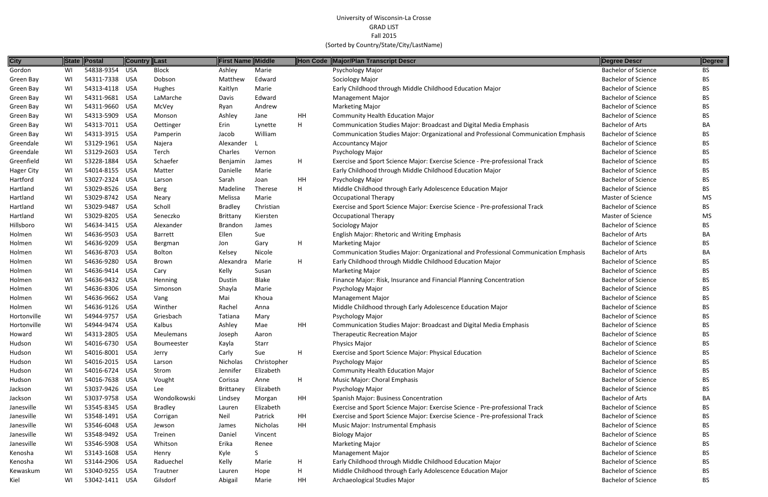| <b>City</b>       |    | State Postal   | <b>Country Last</b> |                | <b>First Name Middle</b> |             |    | Hon Code Major/Plan Transcript Descr                                                | Degree Descr               | Degree    |
|-------------------|----|----------------|---------------------|----------------|--------------------------|-------------|----|-------------------------------------------------------------------------------------|----------------------------|-----------|
| Gordon            | WI | 54838-9354     | USA                 | <b>Block</b>   | Ashley                   | Marie       |    | Psychology Major                                                                    | <b>Bachelor of Science</b> | BS.       |
| Green Bay         | WI | 54311-7338 USA |                     | Dobson         | Matthew                  | Edward      |    | Sociology Major                                                                     | <b>Bachelor of Science</b> | <b>BS</b> |
| Green Bay         | WI | 54313-4118 USA |                     | Hughes         | Kaitlyn                  | Marie       |    | Early Childhood through Middle Childhood Education Major                            | <b>Bachelor of Science</b> | BS.       |
| Green Bay         | WI | 54311-9681     | USA                 | LaMarche       | Davis                    | Edward      |    | <b>Management Major</b>                                                             | <b>Bachelor of Science</b> | <b>BS</b> |
| Green Bay         | WI | 54311-9660 USA |                     | McVey          | Ryan                     | Andrew      |    | <b>Marketing Major</b>                                                              | <b>Bachelor of Science</b> | <b>BS</b> |
| Green Bay         | WI | 54313-5909 USA |                     | Monson         | Ashley                   | Jane        | HH | <b>Community Health Education Major</b>                                             | <b>Bachelor of Science</b> | BS        |
| Green Bay         | WI | 54313-7011 USA |                     | Oettinger      | Erin                     | Lynette     | H  | Communication Studies Major: Broadcast and Digital Media Emphasis                   | <b>Bachelor of Arts</b>    | BA        |
| Green Bay         | WI | 54313-3915 USA |                     | Pamperin       | Jacob                    | William     |    | Communication Studies Major: Organizational and Professional Communication Emphasis | <b>Bachelor of Science</b> | <b>BS</b> |
| Greendale         | WI | 53129-1961 USA |                     | Najera         | Alexander                |             |    | <b>Accountancy Major</b>                                                            | <b>Bachelor of Science</b> | <b>BS</b> |
| Greendale         | WI | 53129-2603     | USA                 | Terch          | Charles                  | Vernon      |    | Psychology Major                                                                    | <b>Bachelor of Science</b> | <b>BS</b> |
| Greenfield        | WI | 53228-1884 USA |                     | Schaefer       | Benjamin                 | James       | H  | Exercise and Sport Science Major: Exercise Science - Pre-professional Track         | <b>Bachelor of Science</b> | <b>BS</b> |
| <b>Hager City</b> | WI | 54014-8155 USA |                     | Matter         | Danielle                 | Marie       |    | Early Childhood through Middle Childhood Education Major                            | <b>Bachelor of Science</b> | BS.       |
| Hartford          | WI | 53027-2324 USA |                     | Larson         | Sarah                    | Joan        | HH | Psychology Major                                                                    | <b>Bachelor of Science</b> | <b>BS</b> |
| Hartland          | WI | 53029-8526 USA |                     | Berg           | Madeline                 | Therese     | H  | Middle Childhood through Early Adolescence Education Major                          | <b>Bachelor of Science</b> | <b>BS</b> |
| Hartland          | WI | 53029-8742 USA |                     | <b>Neary</b>   | Melissa                  | Marie       |    | <b>Occupational Therapy</b>                                                         | Master of Science          | MS        |
| Hartland          | WI | 53029-9487 USA |                     | Scholl         | <b>Bradley</b>           | Christian   |    | Exercise and Sport Science Major: Exercise Science - Pre-professional Track         | <b>Bachelor of Science</b> | BS.       |
| Hartland          | WI | 53029-8205 USA |                     | Seneczko       | Brittany                 | Kiersten    |    | <b>Occupational Therapy</b>                                                         | <b>Master of Science</b>   | MS        |
| Hillsboro         | WI | 54634-3415 USA |                     | Alexander      | <b>Brandon</b>           | James       |    | Sociology Major                                                                     | <b>Bachelor of Science</b> | BS.       |
| Holmen            | WI | 54636-9503 USA |                     | Barrett        | Ellen                    | Sue         |    | <b>English Major: Rhetoric and Writing Emphasis</b>                                 | <b>Bachelor of Arts</b>    | BA        |
| Holmen            | WI | 54636-9209 USA |                     | Bergman        | Jon                      | Gary        | H  | <b>Marketing Major</b>                                                              | <b>Bachelor of Science</b> | BS        |
| Holmen            | WI | 54636-8703 USA |                     | Bolton         | Kelsey                   | Nicole      |    | Communication Studies Major: Organizational and Professional Communication Emphasis | <b>Bachelor of Arts</b>    | BA        |
| Holmen            | WI | 54636-9280 USA |                     | Brown          | Alexandra                | Marie       | H. | Early Childhood through Middle Childhood Education Major                            | <b>Bachelor of Science</b> | BS.       |
| Holmen            | WI | 54636-9414 USA |                     | Cary           | Kelly                    | Susan       |    | <b>Marketing Major</b>                                                              | <b>Bachelor of Science</b> | <b>BS</b> |
| Holmen            | WI | 54636-9432 USA |                     | Henning        | Dustin                   | Blake       |    | Finance Major: Risk, Insurance and Financial Planning Concentration                 | <b>Bachelor of Science</b> | <b>BS</b> |
| Holmen            | WI | 54636-8306 USA |                     | Simonson       | Shayla                   | Marie       |    | Psychology Major                                                                    | <b>Bachelor of Science</b> | <b>BS</b> |
| Holmen            | WI | 54636-9662 USA |                     | Vang           | Mai                      | Khoua       |    | <b>Management Major</b>                                                             | <b>Bachelor of Science</b> | <b>BS</b> |
| Holmen            | WI | 54636-9126 USA |                     | Winther        | Rachel                   | Anna        |    | Middle Childhood through Early Adolescence Education Major                          | <b>Bachelor of Science</b> | <b>BS</b> |
| Hortonville       | WI | 54944-9757 USA |                     | Griesbach      | Tatiana                  | Mary        |    | Psychology Major                                                                    | <b>Bachelor of Science</b> | <b>BS</b> |
| Hortonville       | WI | 54944-9474 USA |                     | Kalbus         | Ashley                   | Mae         | HH | Communication Studies Major: Broadcast and Digital Media Emphasis                   | <b>Bachelor of Science</b> | <b>BS</b> |
| Howard            | WI | 54313-2805 USA |                     | Meulemans      | Joseph                   | Aaron       |    | Therapeutic Recreation Major                                                        | <b>Bachelor of Science</b> | BS.       |
| Hudson            | WI | 54016-6730 USA |                     | Boumeester     | Kayla                    | Starr       |    | Physics Major                                                                       | <b>Bachelor of Science</b> | BS.       |
| Hudson            | WI | 54016-8001 USA |                     | Jerry          | Carly                    | Sue         | H  | Exercise and Sport Science Major: Physical Education                                | <b>Bachelor of Science</b> | BS.       |
| Hudson            | WI | 54016-2015 USA |                     | Larson         | Nicholas                 | Christopher |    | Psychology Major                                                                    | <b>Bachelor of Science</b> | <b>BS</b> |
| Hudson            | WI | 54016-6724 USA |                     | Strom          | Jennifer                 | Elizabeth   |    | <b>Community Health Education Major</b>                                             | <b>Bachelor of Science</b> | <b>BS</b> |
| Hudson            | WI | 54016-7638 USA |                     | Vought         | Corissa                  | Anne        | Н  | Music Major: Choral Emphasis                                                        | <b>Bachelor of Science</b> | <b>BS</b> |
| Jackson           | WI | 53037-9426 USA |                     | Lee            | Brittaney                | Elizabeth   |    | Psychology Major                                                                    | <b>Bachelor of Science</b> | <b>BS</b> |
| Jackson           | WI | 53037-9758 USA |                     | Wondolkowski   | Lindsey                  | Morgan      | HH | Spanish Major: Business Concentration                                               | <b>Bachelor of Arts</b>    | BA        |
| Janesville        | WI | 53545-8345 USA |                     | <b>Bradley</b> | Lauren                   | Elizabeth   |    | Exercise and Sport Science Major: Exercise Science - Pre-professional Track         | <b>Bachelor of Science</b> | <b>BS</b> |
| Janesville        | WI | 53548-1491 USA |                     | Corrigan       | Neil                     | Patrick     | HH | Exercise and Sport Science Major: Exercise Science - Pre-professional Track         | <b>Bachelor of Science</b> | BS        |
| Janesville        | WI | 53546-6048 USA |                     | Jewson         | James                    | Nicholas    | HH | Music Major: Instrumental Emphasis                                                  | <b>Bachelor of Science</b> | <b>BS</b> |
| Janesville        |    | 53548-9492 USA |                     | Treinen        | Daniel                   | Vincent     |    | <b>Biology Major</b>                                                                | <b>Bachelor of Science</b> | <b>BS</b> |
| Janesville        | WI | 53546-5908 USA |                     | Whitson        | Erika                    | Renee       |    | <b>Marketing Major</b>                                                              | <b>Bachelor of Science</b> | <b>BS</b> |
| Kenosha           | WI | 53143-1608 USA |                     | Henry          | Kyle                     |             |    | <b>Management Major</b>                                                             | <b>Bachelor of Science</b> | BS        |
| Kenosha           | WI | 53144-2906 USA |                     | Raduechel      | Kelly                    | Marie       | H  | Early Childhood through Middle Childhood Education Major                            | <b>Bachelor of Science</b> | <b>BS</b> |
| Kewaskum          | WI | 53040-9255 USA |                     | Trautner       | Lauren                   | Hope        | Н  | Middle Childhood through Early Adolescence Education Major                          | <b>Bachelor of Science</b> | <b>BS</b> |
| Kiel              | WI | 53042-1411 USA |                     | Gilsdorf       | Abigail                  | Marie       | HH | Archaeological Studies Major                                                        | <b>Bachelor of Science</b> | <b>BS</b> |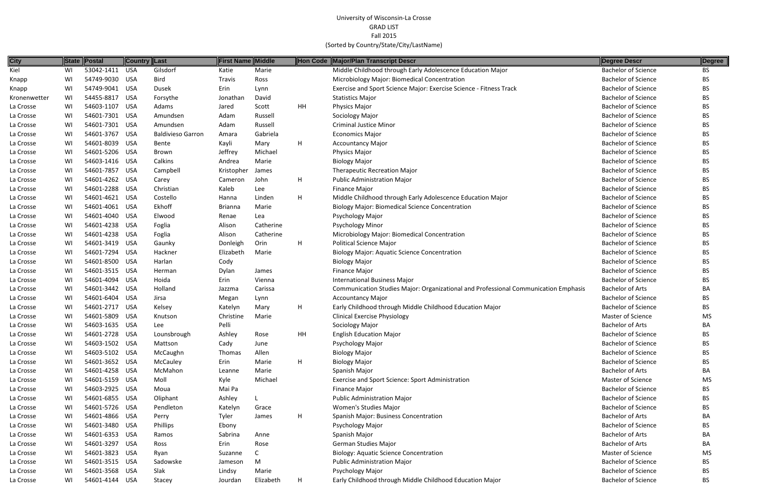| <b>City</b>  | <b>State</b> | Postal         | <b>Country Last</b> |                          | <b>First Name Middle</b> |           |    | Hon Code Major/Plan Transcript Descr                                                | Degree Descr               | Degree    |
|--------------|--------------|----------------|---------------------|--------------------------|--------------------------|-----------|----|-------------------------------------------------------------------------------------|----------------------------|-----------|
| Kiel         | WI           | 53042-1411     | <b>USA</b>          | Gilsdorf                 | Katie                    | Marie     |    | Middle Childhood through Early Adolescence Education Major                          | <b>Bachelor of Science</b> | <b>BS</b> |
| Knapp        | WI           | 54749-9030 USA |                     | Bird                     | Travis                   | Ross      |    | Microbiology Major: Biomedical Concentration                                        | <b>Bachelor of Science</b> | <b>BS</b> |
| Knapp        | WI           | 54749-9041 USA |                     | <b>Dusek</b>             | Erin                     | Lynn      |    | Exercise and Sport Science Major: Exercise Science - Fitness Track                  | <b>Bachelor of Science</b> | BS.       |
| Kronenwetter | WI           | 54455-8817     | USA                 | Forsythe                 | Jonathan                 | David     |    | <b>Statistics Major</b>                                                             | <b>Bachelor of Science</b> | BS.       |
| La Crosse    | WI           | 54603-1107     | USA                 | Adams                    | Jared                    | Scott     | HH | Physics Major                                                                       | <b>Bachelor of Science</b> | BS.       |
| La Crosse    | WI           | 54601-7301     | USA                 | Amundsen                 | Adam                     | Russell   |    | Sociology Major                                                                     | <b>Bachelor of Science</b> | BS.       |
| La Crosse    | WI           | 54601-7301 USA |                     | Amundsen                 | Adam                     | Russell   |    | <b>Criminal Justice Minor</b>                                                       | <b>Bachelor of Science</b> | BS.       |
| La Crosse    | WI           | 54601-3767     | USA                 | <b>Baldivieso Garron</b> | Amara                    | Gabriela  |    | <b>Economics Major</b>                                                              | <b>Bachelor of Science</b> | BS.       |
| La Crosse    | WI           | 54601-8039     | USA                 | Bente                    | Kayli                    | Mary      | H  | <b>Accountancy Major</b>                                                            | <b>Bachelor of Science</b> | ВS        |
| La Crosse    | WI           | 54601-5206 USA |                     | Brown                    | Jeffrey                  | Michael   |    | Physics Major                                                                       | <b>Bachelor of Science</b> | BS.       |
| La Crosse    | WI           | 54603-1416 USA |                     | Calkins                  | Andrea                   | Marie     |    | <b>Biology Major</b>                                                                | <b>Bachelor of Science</b> | BS.       |
| La Crosse    | WI           | 54601-7857     | USA                 | Campbell                 | Kristopher               | James     |    | <b>Therapeutic Recreation Major</b>                                                 | <b>Bachelor of Science</b> | BS.       |
| La Crosse    | WI           | 54601-4262 USA |                     | Carey                    | Cameron                  | John      | H  | <b>Public Administration Major</b>                                                  | <b>Bachelor of Science</b> | BS.       |
| La Crosse    | WI           | 54601-2288     | USA                 | Christian                | Kaleb                    | Lee       |    | Finance Major                                                                       | <b>Bachelor of Science</b> | BS.       |
| La Crosse    | WI           | 54601-4621 USA |                     | Costello                 | Hanna                    | Linden    | Н  | Middle Childhood through Early Adolescence Education Major                          | <b>Bachelor of Science</b> | BS.       |
| La Crosse    | WI           | 54601-4061 USA |                     | Ekhoff                   | <b>Brianna</b>           | Marie     |    | <b>Biology Major: Biomedical Science Concentration</b>                              | <b>Bachelor of Science</b> | BS.       |
| La Crosse    | WI           | 54601-4040 USA |                     | Elwood                   | Renae                    | Lea       |    | Psychology Major                                                                    | <b>Bachelor of Science</b> | BS.       |
| La Crosse    | WI           | 54601-4238 USA |                     | Foglia                   | Alison                   | Catherine |    | <b>Psychology Minor</b>                                                             | <b>Bachelor of Science</b> | BS.       |
| La Crosse    | WI           | 54601-4238 USA |                     | Foglia                   | Alison                   | Catherine |    | Microbiology Major: Biomedical Concentration                                        | <b>Bachelor of Science</b> | BS.       |
| La Crosse    | WI           | 54601-3419 USA |                     | Gaunky                   | Donleigh                 | Orin      | H. | <b>Political Science Major</b>                                                      | <b>Bachelor of Science</b> | BS.       |
| La Crosse    | WI           | 54601-7294 USA |                     | Hackner                  | Elizabeth                | Marie     |    | <b>Biology Major: Aquatic Science Concentration</b>                                 | <b>Bachelor of Science</b> | ВS        |
| La Crosse    | WI           | 54601-8500 USA |                     | Harlan                   | Cody                     |           |    | <b>Biology Major</b>                                                                | <b>Bachelor of Science</b> | BS.       |
| La Crosse    | WI           | 54601-3515 USA |                     | Herman                   | Dylan                    | James     |    | Finance Major                                                                       | <b>Bachelor of Science</b> | BS.       |
| La Crosse    | WI           | 54601-4094 USA |                     | Hoida                    | Erin                     | Vienna    |    | <b>International Business Major</b>                                                 | <b>Bachelor of Science</b> | BS.       |
| La Crosse    | WI           | 54601-3442 USA |                     | Holland                  | Jazzma                   | Carissa   |    | Communication Studies Major: Organizational and Professional Communication Emphasis | <b>Bachelor of Arts</b>    | BA        |
| La Crosse    | WI           | 54601-6404 USA |                     | Jirsa                    | Megan                    | Lynn      |    | <b>Accountancy Major</b>                                                            | <b>Bachelor of Science</b> | BS.       |
| La Crosse    | WI           | 54601-2717 USA |                     | Kelsey                   | Katelyn                  | Mary      | н  | Early Childhood through Middle Childhood Education Major                            | <b>Bachelor of Science</b> | BS.       |
| La Crosse    | WI           | 54601-5809     | USA                 | Knutson                  | Christine                | Marie     |    | <b>Clinical Exercise Physiology</b>                                                 | Master of Science          | MS        |
| La Crosse    | WI           | 54603-1635 USA |                     | Lee                      | Pelli                    |           |    | Sociology Major                                                                     | <b>Bachelor of Arts</b>    | BA        |
| La Crosse    | WI           | 54601-2728 USA |                     | Lounsbrough              | Ashley                   | Rose      | HH | <b>English Education Major</b>                                                      | <b>Bachelor of Science</b> | BS        |
| La Crosse    | WI           | 54603-1502 USA |                     | Mattson                  | Cady                     | June      |    | Psychology Major                                                                    | <b>Bachelor of Science</b> | BS        |
| La Crosse    | WI           | 54603-5102 USA |                     | McCaughn                 | Thomas                   | Allen     |    | <b>Biology Major</b>                                                                | <b>Bachelor of Science</b> | BS        |
| La Crosse    | WI.          | 54601-3652 USA |                     | McCauley                 | Erin                     | Marie     | H  | <b>Biology Major</b>                                                                | <b>Bachelor of Science</b> | ВS        |
| La Crosse    | WI           | 54601-4258 USA |                     | McMahon                  | Leanne                   | Marie     |    | Spanish Major                                                                       | <b>Bachelor of Arts</b>    | BA        |
| La Crosse    | WI           | 54601-5159 USA |                     | Moll                     | Kyle                     | Michael   |    | Exercise and Sport Science: Sport Administration                                    | Master of Science          | MS        |
| La Crosse    | WI           | 54603-2925 USA |                     | Moua                     | Mai Pa                   |           |    | Finance Major                                                                       | <b>Bachelor of Science</b> | ВS        |
| La Crosse    | WI           | 54601-6855 USA |                     | Oliphant                 | Ashley                   |           |    | <b>Public Administration Major</b>                                                  | <b>Bachelor of Science</b> | BS        |
| La Crosse    | WI.          | 54601-5726 USA |                     | Pendleton                | Katelyn                  | Grace     |    | Women's Studies Major                                                               | <b>Bachelor of Science</b> | ВS        |
| La Crosse    | WI           | 54601-4866 USA |                     | Perry                    | Tyler                    | James     | н  | Spanish Major: Business Concentration                                               | <b>Bachelor of Arts</b>    | BА        |
| La Crosse    | WI           | 54601-3480 USA |                     | Phillips                 | Ebony                    |           |    | Psychology Major                                                                    | <b>Bachelor of Science</b> | ВS        |
| La Crosse    | WI           | 54601-6353 USA |                     | Ramos                    | Sabrina                  | Anne      |    | Spanish Major                                                                       | <b>Bachelor of Arts</b>    | BA.       |
| La Crosse    | WI           | 54601-3297 USA |                     | Ross                     | Erin                     | Rose      |    | German Studies Major                                                                | <b>Bachelor of Arts</b>    | BA        |
| La Crosse    | WI           | 54601-3823 USA |                     | Ryan                     | Suzanne                  |           |    | <b>Biology: Aquatic Science Concentration</b>                                       | <b>Master of Science</b>   | MS        |
| La Crosse    | WI           | 54601-3515 USA |                     | Sadowske                 | Jameson                  | M         |    | Public Administration Major                                                         | <b>Bachelor of Science</b> | ВS        |
| La Crosse    | WI           | 54601-3568 USA |                     | Slak                     | Lindsy                   | Marie     |    | Psychology Major                                                                    | <b>Bachelor of Science</b> | BS        |
| La Crosse    | WI           | 54601-4144 USA |                     | Stacey                   | Jourdan                  | Elizabeth | H  | Early Childhood through Middle Childhood Education Major                            | <b>Bachelor of Science</b> | BS        |
|              |              |                |                     |                          |                          |           |    |                                                                                     |                            |           |

|        | Degree Descr               | Degree    |
|--------|----------------------------|-----------|
|        | <b>Bachelor of Science</b> | <b>BS</b> |
|        | <b>Bachelor of Science</b> | ВS        |
|        | <b>Bachelor of Science</b> | BS        |
|        | <b>Bachelor of Science</b> | BS        |
|        | <b>Bachelor of Science</b> | <b>BS</b> |
|        | <b>Bachelor of Science</b> | <b>BS</b> |
|        | <b>Bachelor of Science</b> | BS        |
|        | <b>Bachelor of Science</b> | BS        |
|        | <b>Bachelor of Science</b> | BS        |
|        | <b>Bachelor of Science</b> | BS        |
|        | <b>Bachelor of Science</b> | <b>BS</b> |
|        | <b>Bachelor of Science</b> | <b>BS</b> |
|        | <b>Bachelor of Science</b> | BS        |
|        | <b>Bachelor of Science</b> | <b>BS</b> |
|        | <b>Bachelor of Science</b> | BS        |
|        | <b>Bachelor of Science</b> | <b>BS</b> |
|        | <b>Bachelor of Science</b> | BS        |
|        | <b>Bachelor of Science</b> | BS        |
|        | <b>Bachelor of Science</b> | <b>BS</b> |
|        | <b>Bachelor of Science</b> | <b>BS</b> |
|        | <b>Bachelor of Science</b> | BS        |
|        | <b>Bachelor of Science</b> | BS        |
|        | <b>Bachelor of Science</b> | BS        |
|        | <b>Bachelor of Science</b> | <b>BS</b> |
| phasis | <b>Bachelor of Arts</b>    | BA        |
|        | <b>Bachelor of Science</b> | BS        |
|        | <b>Bachelor of Science</b> | <b>BS</b> |
|        | <b>Master of Science</b>   | <b>MS</b> |
|        | <b>Bachelor of Arts</b>    | BA        |
|        | <b>Bachelor of Science</b> | BS        |
|        | <b>Bachelor of Science</b> | ВS        |
|        | <b>Bachelor of Science</b> | BS        |
|        | <b>Bachelor of Science</b> | <b>BS</b> |
|        | <b>Bachelor of Arts</b>    | BA        |
|        | <b>Master of Science</b>   | MS        |
|        | <b>Bachelor of Science</b> | BS        |
|        | <b>Bachelor of Science</b> | ΒS        |
|        | <b>Bachelor of Science</b> | <b>BS</b> |
|        | <b>Bachelor of Arts</b>    | BA        |
|        | <b>Bachelor of Science</b> | <b>BS</b> |
|        | <b>Bachelor of Arts</b>    | BA        |
|        | <b>Bachelor of Arts</b>    | BA        |
|        | Master of Science          | MS        |
|        | <b>Bachelor of Science</b> | BS        |
|        | <b>Bachelor of Science</b> | BS        |
|        | <b>Bachelor of Science</b> | BS        |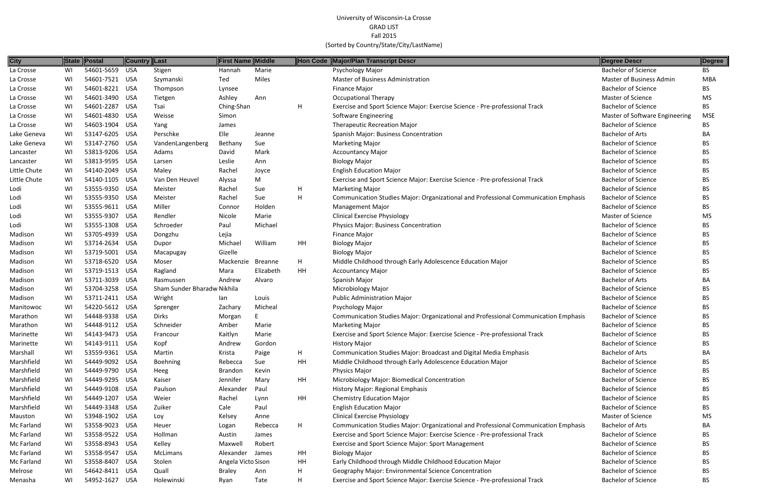| <b>City</b>  | State | Postal         | <b>Country Last</b> |                             | <b>First Name Middle</b> |                |    | Hon Code Major/Plan Transcript Descr                                                | Degree Descr                   | Degree     |
|--------------|-------|----------------|---------------------|-----------------------------|--------------------------|----------------|----|-------------------------------------------------------------------------------------|--------------------------------|------------|
| La Crosse    | WI    | 54601-5659     | USA                 | Stigen                      | Hannah                   | Marie          |    | Psychology Major                                                                    | <b>Bachelor of Science</b>     | BS.        |
| La Crosse    | WI    | 54601-7521 USA |                     | Szymanski                   | Ted                      | Miles          |    | Master of Business Administration                                                   | Master of Business Admin       | MBA        |
| La Crosse    | WI    | 54601-8221 USA |                     | Thompson                    | Lynsee                   |                |    | Finance Major                                                                       | <b>Bachelor of Science</b>     | BS.        |
| La Crosse    | WI    | 54601-3490     | USA                 | Tietgen                     | Ashley                   | Ann            |    | <b>Occupational Therapy</b>                                                         | <b>Master of Science</b>       | MS         |
| La Crosse    | WI    | 54601-2287     | USA                 | Tsai                        | Ching-Shan               |                | H  | Exercise and Sport Science Major: Exercise Science - Pre-professional Track         | <b>Bachelor of Science</b>     | <b>BS</b>  |
| La Crosse    | WI    | 54601-4830 USA |                     | Weisse                      | Simon                    |                |    | Software Engineering                                                                | Master of Software Engineering | <b>MSE</b> |
| La Crosse    | WI    | 54603-1904     | USA                 | Yang                        | James                    |                |    | <b>Therapeutic Recreation Major</b>                                                 | <b>Bachelor of Science</b>     | <b>BS</b>  |
| Lake Geneva  | WI    | 53147-6205 USA |                     | Perschke                    | Elle                     | Jeanne         |    | Spanish Major: Business Concentration                                               | <b>Bachelor of Arts</b>        | ВA         |
| Lake Geneva  | WI    | 53147-2760     | USA                 | VandenLangenberg            | Bethany                  | Sue            |    | <b>Marketing Major</b>                                                              | <b>Bachelor of Science</b>     | <b>BS</b>  |
| Lancaster    | WI    | 53813-9206 USA |                     | Adams                       | David                    | Mark           |    | <b>Accountancy Major</b>                                                            | <b>Bachelor of Science</b>     | <b>BS</b>  |
| Lancaster    | WI    | 53813-9595 USA |                     | Larsen                      | Leslie                   | Ann            |    | <b>Biology Major</b>                                                                | <b>Bachelor of Science</b>     | <b>BS</b>  |
| Little Chute | WI    | 54140-2049 USA |                     | Maley                       | Rachel                   | Joyce          |    | <b>English Education Major</b>                                                      | <b>Bachelor of Science</b>     | BS         |
| Little Chute | WI    | 54140-1105 USA |                     | Van Den Heuvel              | Alyssa                   | M              |    | Exercise and Sport Science Major: Exercise Science - Pre-professional Track         | <b>Bachelor of Science</b>     | BS         |
| Lodi         | WI    | 53555-9350 USA |                     | Meister                     | Rachel                   | Sue            | H  | <b>Marketing Major</b>                                                              | <b>Bachelor of Science</b>     | BS         |
| Lodi         | WI    | 53555-9350 USA |                     | Meister                     | Rachel                   | Sue            | H  | Communication Studies Major: Organizational and Professional Communication Emphasis | <b>Bachelor of Science</b>     | <b>BS</b>  |
| Lodi         | WI    | 53555-9611 USA |                     | Miller                      | Connor                   | Holden         |    | <b>Management Major</b>                                                             | <b>Bachelor of Science</b>     | <b>BS</b>  |
| Lodi         | WI    | 53555-9307     | USA                 | Rendler                     | Nicole                   | Marie          |    | <b>Clinical Exercise Physiology</b>                                                 | Master of Science              | MS         |
| Lodi         | WI    | 53555-1308 USA |                     | Schroeder                   | Paul                     | Michael        |    | <b>Physics Major: Business Concentration</b>                                        | <b>Bachelor of Science</b>     | BS.        |
| Madison      | WI    | 53705-4939 USA |                     | Dongzhu                     | Lejia                    |                |    | Finance Major                                                                       | <b>Bachelor of Science</b>     | <b>BS</b>  |
| Madison      | WI    | 53714-2634 USA |                     | Dupor                       | Michael                  | William        | HH | <b>Biology Major</b>                                                                | <b>Bachelor of Science</b>     | <b>BS</b>  |
| Madison      | WI    | 53719-5001 USA |                     | Macapugay                   | Gizelle                  |                |    | <b>Biology Major</b>                                                                | <b>Bachelor of Science</b>     | <b>BS</b>  |
| Madison      | WI    | 53718-6520 USA |                     | Moser                       | Mackenzie                | <b>Breanne</b> | H  | Middle Childhood through Early Adolescence Education Major                          | <b>Bachelor of Science</b>     | BS         |
| Madison      | WI    | 53719-1513     | USA                 | Ragland                     | Mara                     | Elizabeth      | HH | <b>Accountancy Major</b>                                                            | <b>Bachelor of Science</b>     | <b>BS</b>  |
| Madison      | WI    | 53711-3039     | USA                 | Rasmussen                   | Andrew                   | Alvaro         |    | Spanish Major                                                                       | <b>Bachelor of Arts</b>        | BA         |
| Madison      | WI    | 53704-3258 USA |                     | Sham Sunder Bharadw Nikhila |                          |                |    | Microbiology Major                                                                  | <b>Bachelor of Science</b>     | <b>BS</b>  |
| Madison      | WI    | 53711-2411 USA |                     | Wright                      | lan                      | Louis          |    | <b>Public Administration Major</b>                                                  | <b>Bachelor of Science</b>     | <b>BS</b>  |
| Manitowoc    | WI    | 54220-5612 USA |                     | Sprenger                    | Zachary                  | Micheal        |    | Psychology Major                                                                    | <b>Bachelor of Science</b>     | <b>BS</b>  |
| Marathon     | WI    | 54448-9338 USA |                     | <b>Dirks</b>                | Morgan                   |                |    | Communication Studies Major: Organizational and Professional Communication Emphasis | <b>Bachelor of Science</b>     | <b>BS</b>  |
| Marathon     | WI    | 54448-9112 USA |                     | Schneider                   | Amber                    | Marie          |    | <b>Marketing Major</b>                                                              | <b>Bachelor of Science</b>     | <b>BS</b>  |
| Marinette    | WI    | 54143-9473 USA |                     | Francour                    | Kaitlyn                  | Marie          |    | Exercise and Sport Science Major: Exercise Science - Pre-professional Track         | <b>Bachelor of Science</b>     | <b>BS</b>  |
| Marinette    | WI.   | 54143-9111 USA |                     | Kopf                        | Andrew                   | Gordon         |    | History Major                                                                       | <b>Bachelor of Science</b>     | BS         |
| Marshall     | WI    | 53559-9361 USA |                     | Martin                      | Krista                   | Paige          | H. | Communication Studies Major: Broadcast and Digital Media Emphasis                   | <b>Bachelor of Arts</b>        | BA         |
| Marshfield   | WI    | 54449-9092 USA |                     | Boehning                    | Rebecca                  | Sue            | HH | Middle Childhood through Early Adolescence Education Major                          | <b>Bachelor of Science</b>     | <b>BS</b>  |
| Marshfield   | WI    | 54449-9790 USA |                     | Heeg                        | <b>Brandon</b>           | Kevin          |    | Physics Major                                                                       | <b>Bachelor of Science</b>     | <b>BS</b>  |
| Marshfield   | WI    | 54449-9295 USA |                     | Kaiser                      | Jennifer                 | Mary           | HH | Microbiology Major: Biomedical Concentration                                        | <b>Bachelor of Science</b>     | BS         |
| Marshfield   | WI    | 54449-9108 USA |                     | Paulson                     | Alexander                | Paul           |    | History Major: Regional Emphasis                                                    | <b>Bachelor of Science</b>     | <b>BS</b>  |
| Marshfield   | WI    | 54449-1207 USA |                     | Weier                       | Rachel                   | Lynn           | HH | <b>Chemistry Education Major</b>                                                    | <b>Bachelor of Science</b>     | <b>BS</b>  |
| Marshfield   | WI    | 54449-3348 USA |                     | Zuiker                      | Cale                     | Paul           |    | <b>English Education Major</b>                                                      | <b>Bachelor of Science</b>     | <b>BS</b>  |
| Mauston      | WI    | 53948-1902 USA |                     | Loy                         | Kelsey                   | Anne           |    | <b>Clinical Exercise Physiology</b>                                                 | Master of Science              | MS         |
| Mc Farland   | WI    | 53558-9023 USA |                     | Heuer                       | Logan                    | Rebecca        | H  | Communication Studies Major: Organizational and Professional Communication Emphasis | <b>Bachelor of Arts</b>        | BA         |
| Mc Farland   | WI    | 53558-9522 USA |                     | Hollman                     | Austin                   | James          |    | Exercise and Sport Science Major: Exercise Science - Pre-professional Track         | <b>Bachelor of Science</b>     | BS         |
| Mc Farland   | WI    | 53558-8943 USA |                     | Kelley                      | Maxwell                  | Robert         |    | <b>Exercise and Sport Science Major: Sport Management</b>                           | <b>Bachelor of Science</b>     | <b>BS</b>  |
| Mc Farland   | WI    | 53558-9547 USA |                     | McLimans                    | Alexander                | James          | HH | <b>Biology Major</b>                                                                | <b>Bachelor of Science</b>     | <b>BS</b>  |
| Mc Farland   | WI    | 53558-8407 USA |                     | Stolen                      | Angela Victo Sison       |                | HH | Early Childhood through Middle Childhood Education Major                            | <b>Bachelor of Science</b>     | <b>BS</b>  |
| Melrose      | WI    | 54642-8411 USA |                     | Quall                       | <b>Braley</b>            | Ann            | Н  | Geography Major: Environmental Science Concentration                                | <b>Bachelor of Science</b>     | <b>BS</b>  |
| Menasha      | WI    | 54952-1627 USA |                     | Holewinski                  | Ryan                     | Tate           | H  | Exercise and Sport Science Major: Exercise Science - Pre-professional Track         | <b>Bachelor of Science</b>     | BS         |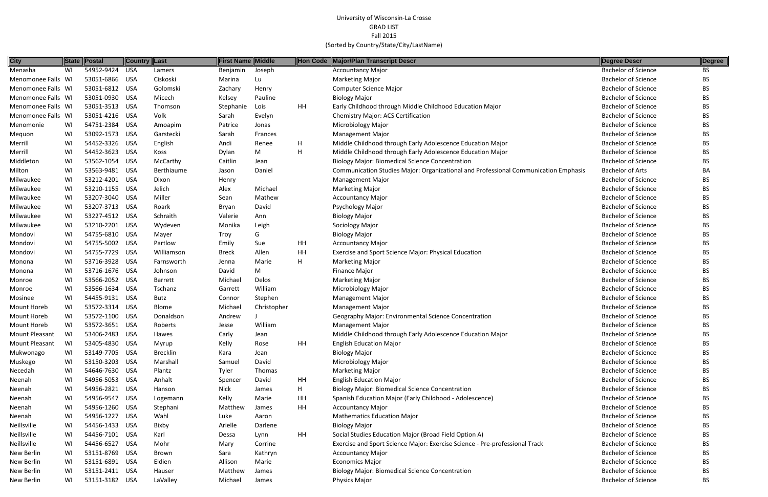| <b>City</b>        |    | State Postal   | Country Last |                 | <b>First Name Middle</b> |             | Hon Code | Major/Plan Transcript Descr                                                         | Degree Descr               | Degree    |
|--------------------|----|----------------|--------------|-----------------|--------------------------|-------------|----------|-------------------------------------------------------------------------------------|----------------------------|-----------|
| Menasha            | WI | 54952-9424     | <b>USA</b>   | Lamers          | Benjamin                 | Joseph      |          | <b>Accountancy Major</b>                                                            | <b>Bachelor of Science</b> | <b>BS</b> |
| Menomonee Falls WI |    | 53051-6866 USA |              | Ciskoski        | Marina                   | Lu          |          | <b>Marketing Major</b>                                                              | <b>Bachelor of Science</b> | BS        |
| Menomonee Falls WI |    | 53051-6812 USA |              | Golomski        | Zachary                  | Henry       |          | <b>Computer Science Major</b>                                                       | <b>Bachelor of Science</b> | <b>BS</b> |
| Menomonee Falls WI |    | 53051-0930 USA |              | Micech          | Kelsey                   | Pauline     |          | <b>Biology Major</b>                                                                | <b>Bachelor of Science</b> | BS        |
| Menomonee Falls WI |    | 53051-3513 USA |              | Thomson         | Stephanie                | Lois        | HH       | Early Childhood through Middle Childhood Education Major                            | <b>Bachelor of Science</b> | BS        |
| Menomonee Falls WI |    | 53051-4216 USA |              | Volk            | Sarah                    | Evelyn      |          | <b>Chemistry Major: ACS Certification</b>                                           | <b>Bachelor of Science</b> | <b>BS</b> |
| Menomonie          | WI | 54751-2384 USA |              | Amoapim         | Patrice                  | Jonas       |          | Microbiology Major                                                                  | <b>Bachelor of Science</b> | BS        |
| Mequon             | WI | 53092-1573 USA |              | Garstecki       | Sarah                    | Frances     |          | <b>Management Major</b>                                                             | <b>Bachelor of Science</b> | <b>BS</b> |
| Merrill            | WI | 54452-3326 USA |              | English         | Andi                     | Renee       | H        | Middle Childhood through Early Adolescence Education Major                          | <b>Bachelor of Science</b> | BS        |
| Merrill            | WI | 54452-3623 USA |              | Koss            | Dylan                    | M           | H        | Middle Childhood through Early Adolescence Education Major                          | <b>Bachelor of Science</b> | <b>BS</b> |
| Middleton          | WI | 53562-1054 USA |              | McCarthy        | Caitlin                  | Jean        |          | <b>Biology Major: Biomedical Science Concentration</b>                              | <b>Bachelor of Science</b> | <b>BS</b> |
| Milton             | WI | 53563-9481 USA |              | Berthiaume      | Jason                    | Daniel      |          | Communication Studies Major: Organizational and Professional Communication Emphasis | <b>Bachelor of Arts</b>    | BA        |
| Milwaukee          | WI | 53212-4201 USA |              | Dixon           | Henry                    |             |          | <b>Management Major</b>                                                             | <b>Bachelor of Science</b> | <b>BS</b> |
| Milwaukee          | WI | 53210-1155 USA |              | Jelich          | Alex                     | Michael     |          | <b>Marketing Major</b>                                                              | <b>Bachelor of Science</b> | BS        |
| Milwaukee          | WI | 53207-3040 USA |              | Miller          | Sean                     | Mathew      |          | <b>Accountancy Major</b>                                                            | <b>Bachelor of Science</b> | <b>BS</b> |
| Milwaukee          | WI | 53207-3713 USA |              | Roark           | Bryan                    | David       |          | Psychology Major                                                                    | <b>Bachelor of Science</b> | BS        |
| Milwaukee          | WI | 53227-4512 USA |              | Schraith        | Valerie                  | Ann         |          | <b>Biology Major</b>                                                                | <b>Bachelor of Science</b> | <b>BS</b> |
| Milwaukee          | WI | 53210-2201 USA |              | Wydeven         | Monika                   | Leigh       |          | Sociology Major                                                                     | <b>Bachelor of Science</b> | BS        |
| Mondovi            | WI | 54755-6810 USA |              | Mayer           | Troy                     | G           |          | <b>Biology Major</b>                                                                | <b>Bachelor of Science</b> | BS        |
| Mondovi            | WI | 54755-5002 USA |              | Partlow         | Emily                    | Sue         | HH       | <b>Accountancy Major</b>                                                            | <b>Bachelor of Science</b> | <b>BS</b> |
| Mondovi            | WI | 54755-7729 USA |              | Williamson      | <b>Breck</b>             | Allen       | HH       | Exercise and Sport Science Major: Physical Education                                | <b>Bachelor of Science</b> | BS        |
| Monona             | WI | 53716-3928 USA |              | Farnsworth      | Jenna                    | Marie       | H        | <b>Marketing Major</b>                                                              | <b>Bachelor of Science</b> | <b>BS</b> |
| Monona             | WI | 53716-1676 USA |              | Johnson         | David                    | M           |          | Finance Major                                                                       | <b>Bachelor of Science</b> | BS        |
| Monroe             | WI | 53566-2052 USA |              | <b>Barrett</b>  | Michael                  | Delos       |          | <b>Marketing Major</b>                                                              | <b>Bachelor of Science</b> | BS        |
| Monroe             | WI | 53566-1634 USA |              | Tschanz         | Garrett                  | William     |          | Microbiology Major                                                                  | <b>Bachelor of Science</b> | BS        |
| Mosinee            | WI | 54455-9131 USA |              | Butz            | Connor                   | Stephen     |          | Management Major                                                                    | <b>Bachelor of Science</b> | BS        |
| Mount Horeb        | WI | 53572-3314 USA |              | <b>Blome</b>    | Michael                  | Christopher |          | <b>Management Major</b>                                                             | <b>Bachelor of Science</b> | <b>BS</b> |
| Mount Horeb        | WI | 53572-1100 USA |              | Donaldson       | Andrew                   |             |          | Geography Major: Environmental Science Concentration                                | <b>Bachelor of Science</b> | BS        |
| Mount Horeb        | WI | 53572-3651 USA |              | Roberts         | Jesse                    | William     |          | <b>Management Major</b>                                                             | <b>Bachelor of Science</b> | <b>BS</b> |
| Mount Pleasant     | WI | 53406-2483 USA |              | Hawes           | Carly                    | Jean        |          | Middle Childhood through Early Adolescence Education Major                          | <b>Bachelor of Science</b> | <b>BS</b> |
| Mount Pleasant     | WI | 53405-4830 USA |              | Myrup           | Kelly                    | Rose        | HH       | <b>English Education Major</b>                                                      | <b>Bachelor of Science</b> | BS        |
| Mukwonago          | WI | 53149-7705 USA |              | <b>Brecklin</b> | Kara                     | Jean        |          | <b>Biology Major</b>                                                                | <b>Bachelor of Science</b> | <b>BS</b> |
| Muskego            | WI | 53150-3203 USA |              | Marshall        | Samuel                   | David       |          | <b>Microbiology Major</b>                                                           | <b>Bachelor of Science</b> | BS        |
| Necedah            | WI | 54646-7630 USA |              | Plantz          | Tyler                    | Thomas      |          | <b>Marketing Major</b>                                                              | <b>Bachelor of Science</b> | <b>BS</b> |
| Neenah             | WI | 54956-5053 USA |              | Anhalt          | Spencer                  | David       | HH       | <b>English Education Major</b>                                                      | <b>Bachelor of Science</b> | BS        |
| Neenah             | WI | 54956-2821 USA |              | Hanson          | <b>Nick</b>              | James       | H        | <b>Biology Major: Biomedical Science Concentration</b>                              | <b>Bachelor of Science</b> | BS        |
| Neenah             | WI | 54956-9547 USA |              | Logemann        | Kelly                    | Marie       | HH       | Spanish Education Major (Early Childhood - Adolescence)                             | <b>Bachelor of Science</b> | <b>BS</b> |
| Neenah             | WI | 54956-1260 USA |              | Stephani        | Matthew                  | James       | HH       | <b>Accountancy Major</b>                                                            | <b>Bachelor of Science</b> | BS        |
| Neenah             | WI | 54956-1227 USA |              | Wahl            | Luke                     | Aaron       |          | <b>Mathematics Education Major</b>                                                  | <b>Bachelor of Science</b> | <b>BS</b> |
| Neillsville        | WI | 54456-1433 USA |              | Bixby           | Arielle                  | Darlene     |          | <b>Biology Major</b>                                                                | <b>Bachelor of Science</b> | BS        |
| Neillsville        | WI | 54456-7101 USA |              | Karl            | Dessa                    | Lynn        | HH       | Social Studies Education Major (Broad Field Option A)                               | <b>Bachelor of Science</b> | BS        |
| Neillsville        | WI | 54456-6527 USA |              | Mohr            | Mary                     | Corrine     |          | Exercise and Sport Science Major: Exercise Science - Pre-professional Track         | <b>Bachelor of Science</b> | BS        |
| New Berlin         | WI | 53151-8769 USA |              | Brown           | Sara                     | Kathryn     |          | <b>Accountancy Major</b>                                                            | <b>Bachelor of Science</b> | <b>BS</b> |
| New Berlin         | WI | 53151-6891 USA |              | Eldien          | Allison                  | Marie       |          | <b>Economics Major</b>                                                              | <b>Bachelor of Science</b> | <b>BS</b> |
| New Berlin         | WI | 53151-2411 USA |              | Hauser          | Matthew                  | James       |          | <b>Biology Major: Biomedical Science Concentration</b>                              | <b>Bachelor of Science</b> | BS        |
| New Berlin         | WI | 53151-3182 USA |              | LaValley        | Michael                  | James       |          | Physics Major                                                                       | <b>Bachelor of Science</b> | BS        |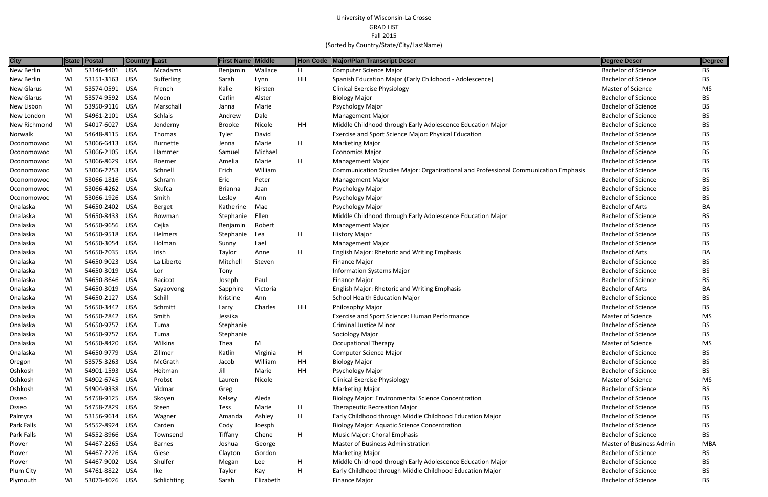| <b>City</b>  |    | State Postal   | <b>Country Last</b> |                 | <b>First Name Middle</b> |           | Hon Code | <b>Major/Plan Transcript Descr</b>                                                  | <b>Degree Descr</b>        | Degree    |
|--------------|----|----------------|---------------------|-----------------|--------------------------|-----------|----------|-------------------------------------------------------------------------------------|----------------------------|-----------|
| New Berlin   | WI | 53146-4401     | USA                 | Mcadams         | Benjamin                 | Wallace   | H        | <b>Computer Science Major</b>                                                       | <b>Bachelor of Science</b> | BS        |
| New Berlin   | WI | 53151-3163 USA |                     | Sufferling      | Sarah                    | Lynn      | HH       | Spanish Education Major (Early Childhood - Adolescence)                             | <b>Bachelor of Science</b> | BS        |
| New Glarus   | WI | 53574-0591 USA |                     | French          | Kalie                    | Kirsten   |          | <b>Clinical Exercise Physiology</b>                                                 | Master of Science          | MS        |
| New Glarus   | WI | 53574-9592 USA |                     | Moen            | Carlin                   | Alster    |          | <b>Biology Major</b>                                                                | <b>Bachelor of Science</b> | BS        |
| New Lisbon   | WI | 53950-9116 USA |                     | Marschall       | Janna                    | Marie     |          | Psychology Major                                                                    | <b>Bachelor of Science</b> | BS        |
| New London   | WI | 54961-2101 USA |                     | Schlais         | Andrew                   | Dale      |          | <b>Management Major</b>                                                             | <b>Bachelor of Science</b> | <b>BS</b> |
| New Richmond | WI | 54017-6027     | USA                 | Jenderny        | <b>Brooke</b>            | Nicole    | HH       | Middle Childhood through Early Adolescence Education Major                          | <b>Bachelor of Science</b> | <b>BS</b> |
| Norwalk      | WI | 54648-8115 USA |                     | Thomas          | Tyler                    | David     |          | Exercise and Sport Science Major: Physical Education                                | <b>Bachelor of Science</b> | BS        |
| Oconomowoc   | WI | 53066-6413 USA |                     | <b>Burnette</b> | Jenna                    | Marie     | H        | <b>Marketing Major</b>                                                              | <b>Bachelor of Science</b> | BS        |
| Oconomowoc   | WI | 53066-2105 USA |                     | Hammer          | Samuel                   | Michael   |          | <b>Economics Major</b>                                                              | <b>Bachelor of Science</b> | BS        |
| Oconomowoc   | WI | 53066-8629 USA |                     | Roemer          | Amelia                   | Marie     | H        | <b>Management Major</b>                                                             | <b>Bachelor of Science</b> | BS        |
| Oconomowoc   | WI | 53066-2253 USA |                     | Schnell         | Erich                    | William   |          | Communication Studies Major: Organizational and Professional Communication Emphasis | <b>Bachelor of Science</b> | BS        |
| Oconomowoc   | WI | 53066-1816 USA |                     | Schram          | Eric                     | Peter     |          | <b>Management Major</b>                                                             | <b>Bachelor of Science</b> | BS        |
| Oconomowoc   | WI | 53066-4262 USA |                     | Skufca          | <b>Brianna</b>           | Jean      |          | Psychology Major                                                                    | <b>Bachelor of Science</b> | BS        |
| Oconomowoc   | WI | 53066-1926 USA |                     | Smith           | Lesley                   | Ann       |          | Psychology Major                                                                    | <b>Bachelor of Science</b> | BS        |
| Onalaska     | WI | 54650-2402 USA |                     | <b>Berget</b>   | Katherine                | Mae       |          | Psychology Major                                                                    | <b>Bachelor of Arts</b>    | BA        |
| Onalaska     | WI | 54650-8433 USA |                     | Bowman          | Stephanie                | Ellen     |          | Middle Childhood through Early Adolescence Education Major                          | <b>Bachelor of Science</b> | BS        |
| Onalaska     | WI | 54650-9656 USA |                     | Cejka           | Benjamin                 | Robert    |          | <b>Management Major</b>                                                             | <b>Bachelor of Science</b> | BS        |
| Onalaska     | WI | 54650-9518 USA |                     | Helmers         | Stephanie                | Lea       | H        | <b>History Major</b>                                                                | <b>Bachelor of Science</b> | <b>BS</b> |
| Onalaska     | WI | 54650-3054 USA |                     | Holman          | Sunny                    | Lael      |          | <b>Management Major</b>                                                             | <b>Bachelor of Science</b> | <b>BS</b> |
| Onalaska     | WI | 54650-2035 USA |                     | Irish           | Taylor                   | Anne      | H        | <b>English Major: Rhetoric and Writing Emphasis</b>                                 | <b>Bachelor of Arts</b>    | ВA        |
| Onalaska     | WI | 54650-9023 USA |                     | La Liberte      | Mitchell                 | Steven    |          | Finance Major                                                                       | <b>Bachelor of Science</b> | BS        |
| Onalaska     | WI | 54650-3019 USA |                     | Lor             | Tony                     |           |          | <b>Information Systems Major</b>                                                    | <b>Bachelor of Science</b> | BS        |
| Onalaska     | WI | 54650-8646 USA |                     | Racicot         | Joseph                   | Paul      |          | Finance Major                                                                       | <b>Bachelor of Science</b> | BS        |
| Onalaska     | WI | 54650-3019 USA |                     | Sayaovong       | Sapphire                 | Victoria  |          | <b>English Major: Rhetoric and Writing Emphasis</b>                                 | <b>Bachelor of Arts</b>    | BA        |
| Onalaska     | WI | 54650-2127     | USA                 | Schill          | Kristine                 | Ann       |          | <b>School Health Education Major</b>                                                | <b>Bachelor of Science</b> | <b>BS</b> |
| Onalaska     | WI | 54650-3442 USA |                     | Schmitt         | Larry                    | Charles   | HH       | Philosophy Major                                                                    | <b>Bachelor of Science</b> | BS        |
| Onalaska     | WI | 54650-2842 USA |                     | Smith           | Jessika                  |           |          | Exercise and Sport Science: Human Performance                                       | <b>Master of Science</b>   | MS        |
| Onalaska     | WI | 54650-9757 USA |                     | Tuma            | Stephanie                |           |          | <b>Criminal Justice Minor</b>                                                       | <b>Bachelor of Science</b> | BS        |
| Onalaska     | WI | 54650-9757 USA |                     | Tuma            | Stephanie                |           |          | Sociology Major                                                                     | <b>Bachelor of Science</b> | ВS        |
| Onalaska     | WI | 54650-8420 USA |                     | Wilkins         | Thea                     | M         |          | <b>Occupational Therapy</b>                                                         | Master of Science          | MS        |
| Onalaska     | WI | 54650-9779 USA |                     | Zillmer         | Katlin                   | Virginia  | H        | <b>Computer Science Major</b>                                                       | <b>Bachelor of Science</b> | BS        |
| Oregon       | WI | 53575-3263 USA |                     | McGrath         | Jacob                    | William   | HH       | <b>Biology Major</b>                                                                | <b>Bachelor of Science</b> | BS        |
| Oshkosh      | WI | 54901-1593 USA |                     | Heitman         | Jill                     | Marie     | HH       | Psychology Major                                                                    | <b>Bachelor of Science</b> | BS        |
| Oshkosh      | WI | 54902-6745 USA |                     | Probst          | Lauren                   | Nicole    |          | <b>Clinical Exercise Physiology</b>                                                 | <b>Master of Science</b>   | MS        |
| Oshkosh      | WI | 54904-9338 USA |                     | Vidmar          | Greg                     |           |          | <b>Marketing Major</b>                                                              | <b>Bachelor of Science</b> | BS        |
| Osseo        | WI | 54758-9125 USA |                     | Skoyen          | Kelsey                   | Aleda     |          | <b>Biology Major: Environmental Science Concentration</b>                           | <b>Bachelor of Science</b> | BS        |
| Osseo        | WI | 54758-7829 USA |                     | Steen           | Tess                     | Marie     | H        | <b>Therapeutic Recreation Major</b>                                                 | <b>Bachelor of Science</b> | <b>BS</b> |
| Palmyra      | WI | 53156-9614 USA |                     | Wagner          | Amanda                   | Ashley    | H        | Early Childhood through Middle Childhood Education Major                            | <b>Bachelor of Science</b> | BS        |
| Park Falls   | WI | 54552-8924 USA |                     | Carden          | Cody                     | Joesph    |          | <b>Biology Major: Aquatic Science Concentration</b>                                 | <b>Bachelor of Science</b> | BS        |
| Park Falls   | WI | 54552-8966 USA |                     | Townsend        | Tiffany                  | Chene     | H        | Music Major: Choral Emphasis                                                        | <b>Bachelor of Science</b> | BS.       |
| Plover       | WI | 54467-2265 USA |                     | <b>Barnes</b>   | Joshua                   | George    |          | <b>Master of Business Administration</b>                                            | Master of Business Admin   | MBA       |
| Plover       | WI | 54467-2226 USA |                     | Giese           | Clayton                  | Gordon    |          | <b>Marketing Major</b>                                                              | <b>Bachelor of Science</b> | BS.       |
| Plover       | WI | 54467-9002 USA |                     | Shulfer         | Megan                    | Lee       | H.       | Middle Childhood through Early Adolescence Education Major                          | <b>Bachelor of Science</b> | BS        |
| Plum City    | WI | 54761-8822 USA |                     | Ike             | Taylor                   | Kay       | H        | Early Childhood through Middle Childhood Education Major                            | <b>Bachelor of Science</b> | <b>BS</b> |
| Plymouth     | WI | 53073-4026 USA |                     | Schlichting     | Sarah                    | Elizabeth |          | <b>Finance Major</b>                                                                | <b>Bachelor of Science</b> | <b>BS</b> |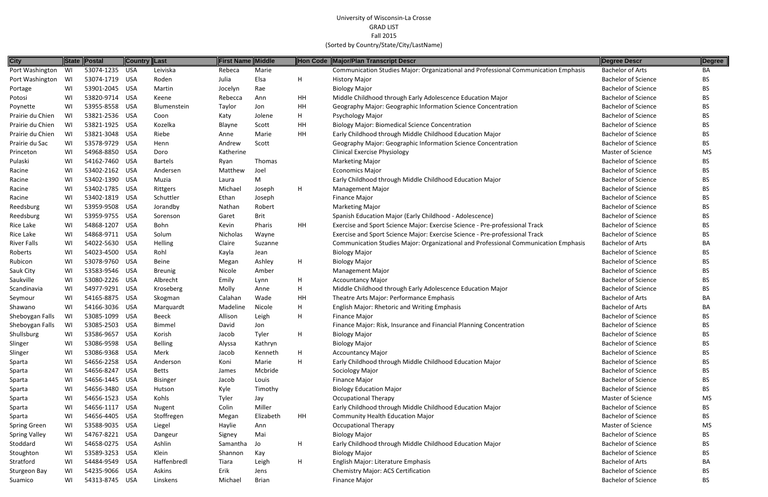| <b>City</b>          |    | State Postal   | ∥Country ∥Last |                 | <b>First Name Middle</b> |              |    | Hon Code Major/Plan Transcript Descr                                                | Degree Descr               | Degree    |
|----------------------|----|----------------|----------------|-----------------|--------------------------|--------------|----|-------------------------------------------------------------------------------------|----------------------------|-----------|
| Port Washington      | WI | 53074-1235 USA |                | Leiviska        | Rebeca                   | Marie        |    | Communication Studies Major: Organizational and Professional Communication Emphasis | <b>Bachelor of Arts</b>    | BA        |
| Port Washington      | WI | 53074-1719 USA |                | Roden           | Julia                    | Elsa         | H  | <b>History Major</b>                                                                | <b>Bachelor of Science</b> | <b>BS</b> |
| Portage              | WI | 53901-2045 USA |                | Martin          | Jocelyn                  | Rae          |    | <b>Biology Major</b>                                                                | <b>Bachelor of Science</b> | <b>BS</b> |
| Potosi               | WI | 53820-9714 USA |                | Keene           | Rebecca                  | Ann          | HH | Middle Childhood through Early Adolescence Education Major                          | <b>Bachelor of Science</b> | <b>BS</b> |
| Poynette             | WI | 53955-8558 USA |                | Blumenstein     | Taylor                   | Jon          | HH | Geography Major: Geographic Information Science Concentration                       | <b>Bachelor of Science</b> | <b>BS</b> |
| Prairie du Chien     | WI | 53821-2536 USA |                | Coon            | Katy                     | Jolene       | H  | Psychology Major                                                                    | <b>Bachelor of Science</b> | BS.       |
| Prairie du Chien     | WI | 53821-1925 USA |                | Kozelka         | Blayne                   | Scott        | HH | <b>Biology Major: Biomedical Science Concentration</b>                              | <b>Bachelor of Science</b> | <b>BS</b> |
| Prairie du Chien     | WI | 53821-3048 USA |                | Riebe           | Anne                     | Marie        | HH | Early Childhood through Middle Childhood Education Major                            | <b>Bachelor of Science</b> | BS.       |
| Prairie du Sac       | WI | 53578-9729 USA |                | Henn            | Andrew                   | Scott        |    | Geography Major: Geographic Information Science Concentration                       | <b>Bachelor of Science</b> | BS        |
| Princeton            | WI | 54968-8850 USA |                | Doro            | Katherine                |              |    | <b>Clinical Exercise Physiology</b>                                                 | Master of Science          | <b>MS</b> |
| Pulaski              | WI | 54162-7460 USA |                | <b>Bartels</b>  | Ryan                     | Thomas       |    | <b>Marketing Major</b>                                                              | <b>Bachelor of Science</b> | <b>BS</b> |
| Racine               | WI | 53402-2162 USA |                | Andersen        | Matthew                  | Joel         |    | <b>Economics Major</b>                                                              | <b>Bachelor of Science</b> | <b>BS</b> |
| Racine               | WI | 53402-1390 USA |                | Muzia           | Laura                    | M            |    | Early Childhood through Middle Childhood Education Major                            | <b>Bachelor of Science</b> | <b>BS</b> |
| Racine               | WI | 53402-1785 USA |                | Rittgers        | Michael                  | Joseph       | H  | <b>Management Major</b>                                                             | <b>Bachelor of Science</b> | BS        |
| Racine               | WI | 53402-1819 USA |                | Schuttler       | Ethan                    | Joseph       |    | Finance Major                                                                       | <b>Bachelor of Science</b> | <b>BS</b> |
| Reedsburg            | WI | 53959-9508 USA |                | Jorandby        | Nathan                   | Robert       |    | <b>Marketing Major</b>                                                              | <b>Bachelor of Science</b> | <b>BS</b> |
| Reedsburg            | WI | 53959-9755 USA |                | Sorenson        | Garet                    | Brit         |    | Spanish Education Major (Early Childhood - Adolescence)                             | <b>Bachelor of Science</b> | <b>BS</b> |
| Rice Lake            | WI | 54868-1207 USA |                | Bohn            | Kevin                    | Pharis       | HH | Exercise and Sport Science Major: Exercise Science - Pre-professional Track         | <b>Bachelor of Science</b> | <b>BS</b> |
| Rice Lake            | WI | 54868-9711 USA |                | Solum           | Nicholas                 | Wayne        |    | Exercise and Sport Science Major: Exercise Science - Pre-professional Track         | <b>Bachelor of Science</b> | <b>BS</b> |
| <b>River Falls</b>   | WI | 54022-5630 USA |                | Helling         | Claire                   | Suzanne      |    | Communication Studies Major: Organizational and Professional Communication Emphasis | <b>Bachelor of Arts</b>    | BA        |
| Roberts              | WI | 54023-4500 USA |                | Rohl            | Kayla                    | Jean         |    | <b>Biology Major</b>                                                                | <b>Bachelor of Science</b> | <b>BS</b> |
| Rubicon              | WI | 53078-9760 USA |                | Beine           | Megan                    | Ashley       | H  | <b>Biology Major</b>                                                                | <b>Bachelor of Science</b> | <b>BS</b> |
| Sauk City            | WI | 53583-9546 USA |                | <b>Breunig</b>  | Nicole                   | Amber        |    | <b>Management Major</b>                                                             | <b>Bachelor of Science</b> | <b>BS</b> |
| Saukville            | WI | 53080-2226 USA |                | Albrecht        | Emily                    | Lynn         | H  | <b>Accountancy Major</b>                                                            | <b>Bachelor of Science</b> | <b>BS</b> |
| Scandinavia          | WI | 54977-9291 USA |                | Kroseberg       | Molly                    | Anne         | H  | Middle Childhood through Early Adolescence Education Major                          | <b>Bachelor of Science</b> | BS.       |
| Seymour              | WI | 54165-8875 USA |                | Skogman         | Calahan                  | Wade         | HH | Theatre Arts Major: Performance Emphasis                                            | <b>Bachelor of Arts</b>    | BA        |
| Shawano              | WI | 54166-3036 USA |                | Marquardt       | Madeline                 | Nicole       | H  | English Major: Rhetoric and Writing Emphasis                                        | <b>Bachelor of Arts</b>    | BA        |
| Sheboygan Falls      | WI | 53085-1099 USA |                | Beeck           | Allison                  | Leigh        | H  | Finance Major                                                                       | <b>Bachelor of Science</b> | <b>BS</b> |
| Sheboygan Falls      | WI | 53085-2503 USA |                | Bimmel          | David                    | Jon          |    | Finance Major: Risk, Insurance and Financial Planning Concentration                 | <b>Bachelor of Science</b> | BS.       |
| Shullsburg           | WI | 53586-9657 USA |                | Korish          | Jacob                    | Tyler        | H  | <b>Biology Major</b>                                                                | <b>Bachelor of Science</b> | BS        |
| Slinger              | WI | 53086-9598 USA |                | <b>Belling</b>  | Alyssa                   | Kathryn      |    | <b>Biology Major</b>                                                                | <b>Bachelor of Science</b> | BS.       |
| Slinger              | WI | 53086-9368 USA |                | Merk            | Jacob                    | Kenneth      | H  | <b>Accountancy Major</b>                                                            | <b>Bachelor of Science</b> | BS.       |
| Sparta               | WI | 54656-2258 USA |                | Anderson        | Koni                     | Marie        | H  | Early Childhood through Middle Childhood Education Major                            | <b>Bachelor of Science</b> | <b>BS</b> |
| Sparta               | WI | 54656-8247 USA |                | <b>Betts</b>    | James                    | Mcbride      |    | Sociology Major                                                                     | <b>Bachelor of Science</b> | BS.       |
| Sparta               | WI | 54656-1445 USA |                | <b>Bisinger</b> | Jacob                    | Louis        |    | Finance Major                                                                       | <b>Bachelor of Science</b> | BS        |
| Sparta               | WI | 54656-3480 USA |                | Hutson          | Kyle                     | Timothy      |    | <b>Biology Education Major</b>                                                      | <b>Bachelor of Science</b> | <b>BS</b> |
| Sparta               | WI | 54656-1523 USA |                | Kohls           | Tyler                    | Jay          |    | <b>Occupational Therapy</b>                                                         | Master of Science          | <b>MS</b> |
| Sparta               | WI | 54656-1117 USA |                | Nugent          | Colin                    | Miller       |    | Early Childhood through Middle Childhood Education Major                            | <b>Bachelor of Science</b> | BS.       |
| Sparta               | WI | 54656-4405 USA |                | Stoffregen      | Megan                    | Elizabeth    | HH | <b>Community Health Education Major</b>                                             | <b>Bachelor of Science</b> | BS.       |
| <b>Spring Green</b>  | WI | 53588-9035 USA |                | Liegel          | Haylie                   | Ann          |    | <b>Occupational Therapy</b>                                                         | Master of Science          | MS        |
| <b>Spring Valley</b> | WI | 54767-8221 USA |                | Dangeur         | Signey                   | Mai          |    | <b>Biology Major</b>                                                                | <b>Bachelor of Science</b> | BS.       |
| Stoddard             | WI | 54658-0275 USA |                | Ashlin          | Samantha                 | Jo           | H  | Early Childhood through Middle Childhood Education Major                            | <b>Bachelor of Science</b> | <b>BS</b> |
| Stoughton            | WI | 53589-3253 USA |                | Klein           | Shannon                  | Kay          |    | <b>Biology Major</b>                                                                | <b>Bachelor of Science</b> | <b>BS</b> |
| Stratford            | WI | 54484-9549 USA |                | Haffenbredl     | Tiara                    | Leigh        | H  | English Major: Literature Emphasis                                                  | <b>Bachelor of Arts</b>    | BA        |
| <b>Sturgeon Bay</b>  | WI | 54235-9066 USA |                | Askins          | Erik                     | Jens         |    | <b>Chemistry Major: ACS Certification</b>                                           | <b>Bachelor of Science</b> | <b>BS</b> |
| Suamico              | WI | 54313-8745 USA |                | Linskens        | Michael                  | <b>Brian</b> |    | Finance Major                                                                       | <b>Bachelor of Science</b> | <b>BS</b> |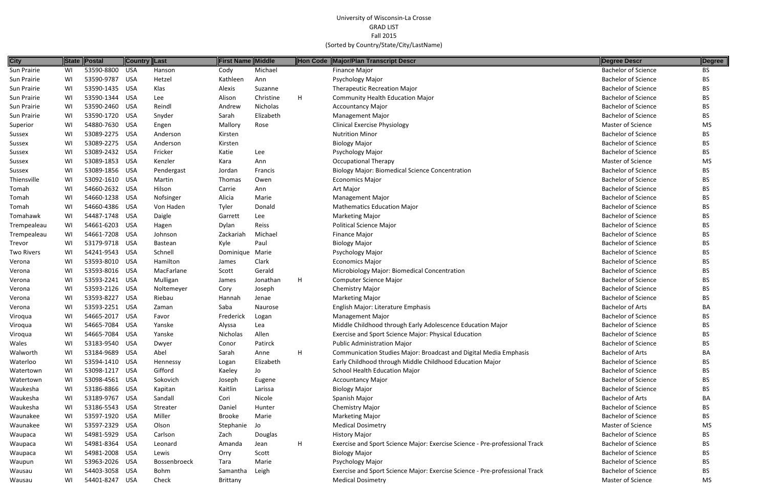| <b>City</b>       |    | State Postal   | <b>Country Last</b> |                     | <b>First Name Middle</b> |           |   | Hon Code Major/Plan Transcript Descr                                        | Degree Descr               | Degree    |
|-------------------|----|----------------|---------------------|---------------------|--------------------------|-----------|---|-----------------------------------------------------------------------------|----------------------------|-----------|
| Sun Prairie       | WI | 53590-8800     | USA                 | Hanson              | Cody                     | Michael   |   | <b>Finance Major</b>                                                        | <b>Bachelor of Science</b> | ВS        |
| Sun Prairie       | WI | 53590-9787 USA |                     | Hetzel              | Kathleen                 | Ann       |   | Psychology Major                                                            | <b>Bachelor of Science</b> | <b>BS</b> |
| Sun Prairie       | WI | 53590-1435 USA |                     | Klas                | Alexis                   | Suzanne   |   | <b>Therapeutic Recreation Major</b>                                         | <b>Bachelor of Science</b> | ВS        |
| Sun Prairie       | WI | 53590-1344 USA |                     | Lee                 | Alison                   | Christine | H | <b>Community Health Education Major</b>                                     | <b>Bachelor of Science</b> | BS.       |
| Sun Prairie       | WI | 53590-2460 USA |                     | Reindl              | Andrew                   | Nicholas  |   | <b>Accountancy Major</b>                                                    | <b>Bachelor of Science</b> | BS.       |
| Sun Prairie       | WI | 53590-1720 USA |                     | Snyder              | Sarah                    | Elizabeth |   | <b>Management Major</b>                                                     | <b>Bachelor of Science</b> | BS.       |
| Superior          | WI | 54880-7630 USA |                     | Engen               | Mallory                  | Rose      |   | <b>Clinical Exercise Physiology</b>                                         | Master of Science          | MS        |
| Sussex            | WI | 53089-2275 USA |                     | Anderson            | Kirsten                  |           |   | <b>Nutrition Minor</b>                                                      | <b>Bachelor of Science</b> | ВS        |
| Sussex            | WI | 53089-2275 USA |                     | Anderson            | Kirsten                  |           |   | <b>Biology Major</b>                                                        | <b>Bachelor of Science</b> | ВS        |
| Sussex            | WI | 53089-2432 USA |                     | Fricker             | Katie                    | Lee       |   | Psychology Major                                                            | <b>Bachelor of Science</b> | BS.       |
| Sussex            | WI | 53089-1853 USA |                     | Kenzler             | Kara                     | Ann       |   | <b>Occupational Therapy</b>                                                 | Master of Science          | <b>MS</b> |
| Sussex            | WI | 53089-1856 USA |                     | Pendergast          | Jordan                   | Francis   |   | <b>Biology Major: Biomedical Science Concentration</b>                      | <b>Bachelor of Science</b> | BS.       |
| Thiensville       | WI | 53092-1610 USA |                     | Martin              | Thomas                   | Owen      |   | <b>Economics Major</b>                                                      | <b>Bachelor of Science</b> | ВS        |
| Tomah             | WI | 54660-2632 USA |                     | Hilson              | Carrie                   | Ann       |   | Art Major                                                                   | <b>Bachelor of Science</b> | ВS        |
| Tomah             | WI | 54660-1238 USA |                     | Nofsinger           | Alicia                   | Marie     |   | <b>Management Major</b>                                                     | <b>Bachelor of Science</b> | BS.       |
| Tomah             | WI | 54660-4386 USA |                     | Von Haden           | Tyler                    | Donald    |   | <b>Mathematics Education Major</b>                                          | <b>Bachelor of Science</b> | ВS        |
| Tomahawk          | WI | 54487-1748 USA |                     | Daigle              | Garrett                  | Lee       |   | <b>Marketing Major</b>                                                      | <b>Bachelor of Science</b> | BS.       |
| Trempealeau       | WI | 54661-6203 USA |                     | Hagen               | Dylan                    | Reiss     |   | <b>Political Science Major</b>                                              | <b>Bachelor of Science</b> | BS.       |
| Trempealeau       | WI | 54661-7208 USA |                     | Johnson             | Zackariah                | Michael   |   | Finance Major                                                               | <b>Bachelor of Science</b> | BS.       |
| Trevor            | WI | 53179-9718 USA |                     | Bastean             | Kyle                     | Paul      |   | <b>Biology Major</b>                                                        | <b>Bachelor of Science</b> | BS.       |
| <b>Two Rivers</b> | WI | 54241-9543 USA |                     | Schnell             | Dominique                | Marie     |   | Psychology Major                                                            | <b>Bachelor of Science</b> | ВS        |
| Verona            | WI | 53593-8010 USA |                     | Hamilton            | James                    | Clark     |   | <b>Economics Major</b>                                                      | <b>Bachelor of Science</b> | ВS        |
| Verona            | WI | 53593-8016 USA |                     | MacFarlane          | Scott                    | Gerald    |   | Microbiology Major: Biomedical Concentration                                | <b>Bachelor of Science</b> | BS.       |
| Verona            | WI | 53593-2241 USA |                     | Mulligan            | James                    | Jonathan  | H | Computer Science Major                                                      | <b>Bachelor of Science</b> | BS.       |
| Verona            | WI | 53593-2126 USA |                     | Noltemeyer          | Cory                     | Joseph    |   | <b>Chemistry Major</b>                                                      | <b>Bachelor of Science</b> | BS.       |
| Verona            | WI | 53593-8227 USA |                     | Riebau              | Hannah                   | Jenae     |   | <b>Marketing Major</b>                                                      | <b>Bachelor of Science</b> | ВS        |
| Verona            | WI | 53593-2251 USA |                     | Zaman               | Saba                     | Naurose   |   | English Major: Literature Emphasis                                          | <b>Bachelor of Arts</b>    | BA        |
| Viroqua           | WI | 54665-2017 USA |                     | Favor               | Frederick                | Logan     |   | <b>Management Major</b>                                                     | <b>Bachelor of Science</b> | ВS        |
| Viroqua           | WI | 54665-7084 USA |                     | Yanske              | Alyssa                   | Lea       |   | Middle Childhood through Early Adolescence Education Major                  | <b>Bachelor of Science</b> | ВS        |
| Viroqua           | WI | 54665-7084 USA |                     | Yanske              | Nicholas                 | Allen     |   | Exercise and Sport Science Major: Physical Education                        | <b>Bachelor of Science</b> | BS        |
| Wales             | WI | 53183-9540 USA |                     | Dwyer               | Conor                    | Patirck   |   | <b>Public Administration Major</b>                                          | <b>Bachelor of Science</b> | BS        |
| Walworth          | WI | 53184-9689 USA |                     | Abel                | Sarah                    | Anne      | H | <b>Communication Studies Major: Broadcast and Digital Media Emphasis</b>    | <b>Bachelor of Arts</b>    | BA.       |
| Waterloo          | WI | 53594-1410 USA |                     | Hennessy            | Logan                    | Elizabeth |   | Early Childhood through Middle Childhood Education Major                    | <b>Bachelor of Science</b> | ВS        |
| Watertown         | WI | 53098-1217 USA |                     | Gifford             | Kaeley                   | Jo        |   | <b>School Health Education Major</b>                                        | <b>Bachelor of Science</b> | BS        |
| Watertown         | WI | 53098-4561 USA |                     | Sokovich            | Joseph                   | Eugene    |   | <b>Accountancy Major</b>                                                    | <b>Bachelor of Science</b> | ВS        |
| Waukesha          | WI | 53186-8866 USA |                     | Kapitan             | Kaitlin                  | Larissa   |   | <b>Biology Major</b>                                                        | <b>Bachelor of Science</b> | BS        |
| Waukesha          | WI | 53189-9767 USA |                     | Sandall             | Cori                     | Nicole    |   | Spanish Major                                                               | <b>Bachelor of Arts</b>    | BА        |
| Waukesha          | WI | 53186-5543 USA |                     | Streater            | Daniel                   | Hunter    |   | <b>Chemistry Major</b>                                                      | <b>Bachelor of Science</b> | ВS        |
| Waunakee          | WI | 53597-1920 USA |                     | Miller              | <b>Brooke</b>            | Marie     |   | <b>Marketing Major</b>                                                      | <b>Bachelor of Science</b> | ВS        |
| Waunakee          | WI | 53597-2329 USA |                     | Olson               | Stephanie                | Jo        |   | <b>Medical Dosimetry</b>                                                    | Master of Science          | MS        |
| Waupaca           | WI | 54981-5929 USA |                     | Carlson             | Zach                     | Douglas   |   | <b>History Major</b>                                                        | <b>Bachelor of Science</b> | ВS        |
| Waupaca           | WI | 54981-8364 USA |                     | Leonard             | Amanda                   | Jean      | H | Exercise and Sport Science Major: Exercise Science - Pre-professional Track | <b>Bachelor of Science</b> | ВS        |
| Waupaca           | WI | 54981-2008 USA |                     | Lewis               | Orry                     | Scott     |   | <b>Biology Major</b>                                                        | <b>Bachelor of Science</b> | BS        |
| Waupun            | WI | 53963-2026 USA |                     | <b>Bossenbroeck</b> | Tara                     | Marie     |   | Psychology Major                                                            | <b>Bachelor of Science</b> | BS        |
| Wausau            | WI | 54403-3058 USA |                     | Bohm                | Samantha                 | Leigh     |   | Exercise and Sport Science Major: Exercise Science - Pre-professional Track | <b>Bachelor of Science</b> | BS.       |
| Wausau            | WI | 54401-8247 USA |                     | Check               | Brittany                 |           |   | <b>Medical Dosimetry</b>                                                    | Master of Science          | MS.       |

| <b>Degree Descr</b>        | Degree     |
|----------------------------|------------|
| <b>Bachelor of Science</b> | ΒS         |
| <b>Bachelor of Science</b> | ВS         |
| <b>Bachelor of Science</b> | ΒS         |
| <b>Bachelor of Science</b> | ΒS         |
| <b>Bachelor of Science</b> | BS         |
| <b>Bachelor of Science</b> | ΒS         |
| <b>Master of Science</b>   | MS         |
| <b>Bachelor of Science</b> | BS.        |
| <b>Bachelor of Science</b> | BS         |
| <b>Bachelor of Science</b> | ΒS         |
| <b>Master of Science</b>   | MS         |
| <b>Bachelor of Science</b> | BS         |
| <b>Bachelor of Science</b> | ΒS         |
| <b>Bachelor of Science</b> | BS         |
| <b>Bachelor of Science</b> | ΒS         |
| <b>Bachelor of Science</b> | ΒS         |
| <b>Bachelor of Science</b> | ΒS         |
| <b>Bachelor of Science</b> | ΒS         |
| <b>Bachelor of Science</b> | <b>BS</b>  |
| <b>Bachelor of Science</b> | ΒS         |
| <b>Bachelor of Science</b> | ВS         |
| <b>Bachelor of Science</b> | ΒS         |
| <b>Bachelor of Science</b> | BS         |
| <b>Bachelor of Science</b> | BS         |
| <b>Bachelor of Science</b> | ΒS         |
| <b>Bachelor of Science</b> | BS         |
| <b>Bachelor of Arts</b>    | BА         |
| <b>Bachelor of Science</b> | ВS         |
| <b>Bachelor of Science</b> | ΒS         |
| <b>Bachelor of Science</b> | BS         |
| <b>Bachelor of Science</b> | ВS         |
| <b>Bachelor of Arts</b>    | BA         |
| <b>Bachelor of Science</b> | BS         |
| <b>Bachelor of Science</b> | ΒS         |
| <b>Bachelor of Science</b> | BS         |
| <b>Bachelor of Science</b> | BS         |
| <b>Bachelor of Arts</b>    | BA         |
| <b>Bachelor of Science</b> | BS         |
| <b>Bachelor of Science</b> | ΒS         |
| <b>Master of Science</b>   | MS         |
| <b>Bachelor of Science</b> | BS         |
| <b>Bachelor of Science</b> | ΒS         |
| <b>Bachelor of Science</b> | BS         |
| <b>Bachelor of Science</b> | ΒS         |
| <b>Bachelor of Science</b> | BS         |
| Master of Science          | <b>NAC</b> |